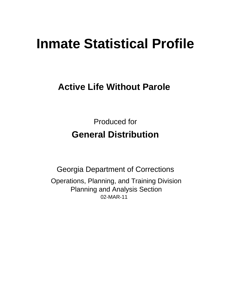# **Inmate Statistical Profile**

# **Active Life Without Parole**

**Produced for General Distribution** 

**Georgia Department of Corrections** Operations, Planning, and Training Division **Planning and Analysis Section** 02-MAR-11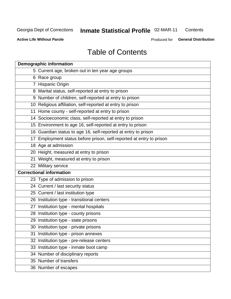# Inmate Statistical Profile 02-MAR-11

Contents

**Active Life Without Parole** 

Produced for General Distribution

# **Table of Contents**

|    | <b>Demographic information</b>                                       |
|----|----------------------------------------------------------------------|
|    | 5 Current age, broken out in ten year age groups                     |
|    | 6 Race group                                                         |
|    | 7 Hispanic Origin                                                    |
|    | 8 Marital status, self-reported at entry to prison                   |
|    | 9 Number of children, self-reported at entry to prison               |
|    | 10 Religious affiliation, self-reported at entry to prison           |
|    | 11 Home county - self-reported at entry to prison                    |
|    | 14 Socioeconomic class, self-reported at entry to prison             |
|    | 15 Environment to age 16, self-reported at entry to prison           |
|    | 16 Guardian status to age 16, self-reported at entry to prison       |
|    | 17 Employment status before prison, self-reported at entry to prison |
|    | 18 Age at admission                                                  |
|    | 20 Height, measured at entry to prison                               |
|    | 21 Weight, measured at entry to prison                               |
|    | 22 Military service                                                  |
|    | <b>Correctional information</b>                                      |
|    | 23 Type of admission to prison                                       |
|    | 24 Current / last security status                                    |
|    | 25 Current / last institution type                                   |
|    | 26 Institution type - transitional centers                           |
|    | 27 Institution type - mental hospitals                               |
|    | 28 Institution type - county prisons                                 |
|    | 29 Institution type - state prisons                                  |
|    | 30 Institution type - private prisons                                |
| 31 | Institution type - prison annexes                                    |
|    | 32 Institution type - pre-release centers                            |
|    | 33 Institution type - inmate boot camp                               |
|    | 34 Number of disciplinary reports                                    |
|    | 35 Number of transfers                                               |
|    | 36 Number of escapes                                                 |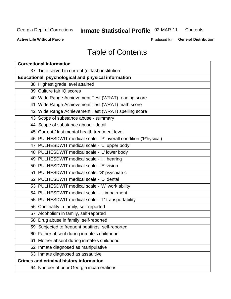# **Inmate Statistical Profile 02-MAR-11**

Contents

**Active Life Without Parole** 

Produced for General Distribution

# **Table of Contents**

| <b>Correctional information</b>                                  |  |  |  |  |  |  |
|------------------------------------------------------------------|--|--|--|--|--|--|
| 37 Time served in current (or last) institution                  |  |  |  |  |  |  |
| Educational, psychological and physical information              |  |  |  |  |  |  |
| 38 Highest grade level attained                                  |  |  |  |  |  |  |
| 39 Culture fair IQ scores                                        |  |  |  |  |  |  |
| 40 Wide Range Achievement Test (WRAT) reading score              |  |  |  |  |  |  |
| 41 Wide Range Achievement Test (WRAT) math score                 |  |  |  |  |  |  |
| 42 Wide Range Achievement Test (WRAT) spelling score             |  |  |  |  |  |  |
| 43 Scope of substance abuse - summary                            |  |  |  |  |  |  |
| 44 Scope of substance abuse - detail                             |  |  |  |  |  |  |
| 45 Current / last mental health treatment level                  |  |  |  |  |  |  |
| 46 PULHESDWIT medical scale - 'P' overall condition ('P'hysical) |  |  |  |  |  |  |
| 47 PULHESDWIT medical scale - 'U' upper body                     |  |  |  |  |  |  |
| 48 PULHESDWIT medical scale - 'L' lower body                     |  |  |  |  |  |  |
| 49 PULHESDWIT medical scale - 'H' hearing                        |  |  |  |  |  |  |
| 50 PULHESDWIT medical scale - 'E' vision                         |  |  |  |  |  |  |
| 51 PULHESDWIT medical scale -'S' psychiatric                     |  |  |  |  |  |  |
| 52 PULHESDWIT medical scale - 'D' dental                         |  |  |  |  |  |  |
| 53 PULHESDWIT medical scale - 'W' work ability                   |  |  |  |  |  |  |
| 54 PULHESDWIT medical scale - 'I' impairment                     |  |  |  |  |  |  |
| 55 PULHESDWIT medical scale - 'T' transportability               |  |  |  |  |  |  |
| 56 Criminality in family, self-reported                          |  |  |  |  |  |  |
| 57 Alcoholism in family, self-reported                           |  |  |  |  |  |  |
| 58 Drug abuse in family, self-reported                           |  |  |  |  |  |  |
| 59 Subjected to frequent beatings, self-reported                 |  |  |  |  |  |  |
| 60 Father absent during inmate's childhood                       |  |  |  |  |  |  |
| Mother absent during inmate's childhood<br>61                    |  |  |  |  |  |  |
| 62 Inmate diagnosed as manipulative                              |  |  |  |  |  |  |
| 63 Inmate diagnosed as assaultive                                |  |  |  |  |  |  |
| <b>Crimes and criminal history information</b>                   |  |  |  |  |  |  |
| 64 Number of prior Georgia incarcerations                        |  |  |  |  |  |  |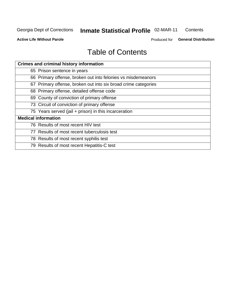#### Inmate Statistical Profile 02-MAR-11 Contents

**Active Life Without Parole** 

Produced for General Distribution

# **Table of Contents**

| <b>Crimes and criminal history information</b>                 |
|----------------------------------------------------------------|
| 65 Prison sentence in years                                    |
| 66 Primary offense, broken out into felonies vs misdemeanors   |
| 67 Primary offense, broken out into six broad crime categories |
| 68 Primary offense, detailed offense code                      |
| 69 County of conviction of primary offense                     |
| 73 Circuit of conviction of primary offense                    |
| 75 Years served (jail + prison) in this incarceration          |
| <b>Medical information</b>                                     |
| 76 Results of most recent HIV test                             |
| 77 Results of most recent tuberculosis test                    |
| 78 Results of most recent syphilis test                        |
| 79 Results of most recent Hepatitis-C test                     |
|                                                                |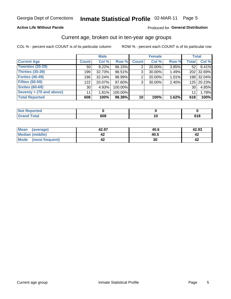### Inmate Statistical Profile 02-MAR-11 Page 5

#### **Active Life Without Parole**

#### Produced for General Distribution

### Current age, broken out in ten-year age groups

COL % - percent each COUNT is of its particular column

|                          |              | <b>Male</b> |         |                 | <b>Female</b> |       |              | <b>Total</b> |
|--------------------------|--------------|-------------|---------|-----------------|---------------|-------|--------------|--------------|
| <b>Current Age</b>       | <b>Count</b> | Col %       | Row %   | <b>Count</b>    | Col %         | Row % | <b>Total</b> | Col %        |
| Twenties (20-29)         | 50           | 8.22%       | 96.15%  |                 | 20.00%        | 3.85% | 52           | 8.41%        |
| Thirties (30-39)         | 199          | 32.73%      | 98.51%  | 3 <sub>1</sub>  | 30.00%        | 1.49% |              | 202 32.69%   |
| <b>Forties (40-49)</b>   | 196          | $32.24\%$   | 98.99%  | 2               | 20.00%        | 1.01% |              | 198 32.04%   |
| <b>Fifties (50-59)</b>   | 122          | 20.07%      | 97.60%  | 3               | 30.00%        | 2.40% |              | 125 20.23%   |
| <b>Sixties (60-69)</b>   | 30           | 4.93%       | 100.00% |                 |               |       | 30           | 4.85%        |
| Seventy + (70 and above) | 11           | 1.81%       | 100.00% |                 |               |       | 11           | 1.78%        |
| <b>Total Reported</b>    | 608          | 100%        | 98.38%  | 10 <sup>1</sup> | 100%          | 1.62% | 618          | 100%         |

| $\Lambda$ eportea $\Lambda$ |            |  |
|-----------------------------|------------|--|
| <b>otal</b><br>______       | cna<br>ουσ |  |

| <b>Mean</b><br>(average)       | 42.97 | 40.6 | 42.93 |
|--------------------------------|-------|------|-------|
| Median (middle)                | -14   | 40.5 | 44    |
| <b>Mode</b><br>(most frequent) | -14   | 30   | 4∡    |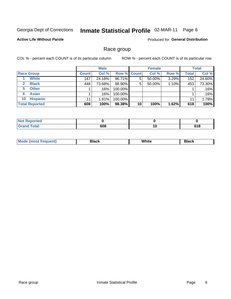#### Inmate Statistical Profile 02-MAR-11 Page 6

### **Active Life Without Parole**

**Produced for General Distribution** 

### Race group

COL % - percent each COUNT is of its particular column

|                              |              | <b>Male</b> |                    |    | <b>Female</b> |       |              | <b>Total</b> |
|------------------------------|--------------|-------------|--------------------|----|---------------|-------|--------------|--------------|
| <b>Race Group</b>            | <b>Count</b> | Col %       | <b>Row % Count</b> |    | Col %         | Row % | <b>Total</b> | Col %        |
| <b>White</b>                 | 147          | 24.18%      | 96.71%             | 5  | 50.00%        | 3.29% | 152          | 24.60%       |
| <b>Black</b><br>$\mathbf{2}$ | 448          | 73.68%      | 98.90%             | 5  | 50.00%        | 1.10% | 453          | 73.30%       |
| <b>Other</b><br>5.           |              | .16%        | 100.00%            |    |               |       |              | .16%         |
| <b>Asian</b><br>6            |              | $.16\%$     | 100.00%            |    |               |       |              | .16%         |
| <b>Hispanic</b><br>10        | 11           | 1.81%       | 100.00%            |    |               |       | 11           | 1.78%        |
| <b>Total Reported</b>        | 608          | 100%        | 98.38%             | 10 | 100%          | 1.62% | 618          | 100%         |

| <b>ported</b>         |     |           |                                  |
|-----------------------|-----|-----------|----------------------------------|
| <b>Total</b><br>_____ | 608 | 1 V<br>__ | C <sub>4</sub> C<br>0 I O<br>- - |

| M | .<br>vv | Piasn |
|---|---------|-------|
|   |         |       |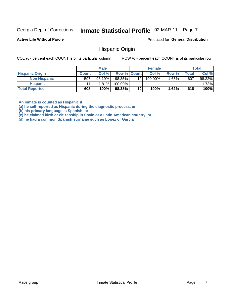#### Inmate Statistical Profile 02-MAR-11 Page 7

**Active Life Without Parole** 

Produced for General Distribution

### **Hispanic Origin**

COL % - percent each COUNT is of its particular column

ROW % - percent each COUNT is of its particular row

|                        |              | <b>Male</b> |             |    | <b>Female</b> |       |       | <b>Total</b> |
|------------------------|--------------|-------------|-------------|----|---------------|-------|-------|--------------|
| <b>Hispanic Origin</b> | <b>Count</b> | Col %       | Row % Count |    | Col %         | Row % | Total | Col %        |
| <b>Non Hispanic</b>    | 597          | 98.19%      | 98.35%      | 10 | 100.00%       | 1.65% | 607   | 98.22%       |
| <b>Hispanic</b>        |              | 1.81%       | 100.00%     |    |               |       | 11    | 1.78%        |
| <b>Total Reported</b>  | 608          | 100%        | 98.38%      | 10 | 100%          | 1.62% | 618   | 100%         |

An inmate is counted as Hispanic if

(a) he self-reported as Hispanic during the diagnostic process, or

(b) his primary language is Spanish, or

(c) he claimed birth or citizenship in Spain or a Latin American country, or

(d) he had a common Spanish surname such as Lopez or Garcia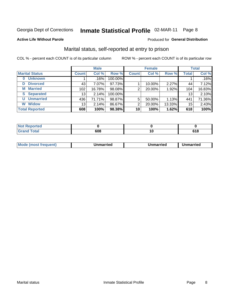# Inmate Statistical Profile 02-MAR-11 Page 8

#### **Active Life Without Parole**

### **Produced for General Distribution**

### Marital status, self-reported at entry to prison

COL % - percent each COUNT is of its particular column

|                            | <b>Male</b>     |        |         | <b>Female</b> |        |        | <b>Total</b> |        |
|----------------------------|-----------------|--------|---------|---------------|--------|--------|--------------|--------|
| <b>Marital Status</b>      | <b>Count</b>    | Col %  | Row %   | <b>Count</b>  | Col %  | Row %  | <b>Total</b> | Col %  |
| <b>Unknown</b><br>$\bf{0}$ |                 | .16%   | 100.00% |               |        |        |              | .16%   |
| <b>Divorced</b><br>D       | 43              | 7.07%  | 97.73%  |               | 10.00% | 2.27%  | 44           | 7.12%  |
| <b>Married</b><br>М        | 102             | 16.78% | 98.08%  | 2             | 20.00% | 1.92%  | 104          | 16.83% |
| <b>Separated</b><br>S.     | 13 <sub>1</sub> | 2.14%  | 100.00% |               |        |        | 13           | 2.10%  |
| <b>Unmarried</b><br>U      | 436             | 71.71% | 98.87%  | 5             | 50.00% | 1.13%  | 441          | 71.36% |
| <b>Widow</b><br>W          | 13              | 2.14%  | 86.67%  | 2             | 20.00% | 13.33% | 15           | 2.43%  |
| <b>Total Reported</b>      | 608             | 100%   | 98.38%  | 10            | 100%   | 1.62%  | 618          | 100%   |

| prted<br><b>NOT REDO</b><br>. <b>.</b> <u>.</u> |  |                |
|-------------------------------------------------|--|----------------|
| <b>Total</b>                                    |  | C 4 0<br>0 I O |

|  | M | . | Unmarried | າmarried<br>______ |
|--|---|---|-----------|--------------------|
|--|---|---|-----------|--------------------|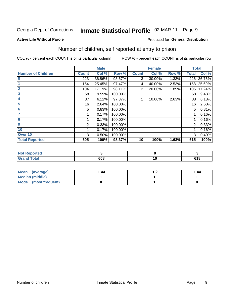# Inmate Statistical Profile 02-MAR-11 Page 9

#### **Active Life Without Parole**

#### Produced for General Distribution

### Number of children, self reported at entry to prison

COL % - percent each COUNT is of its particular column

|                           |              | <b>Male</b> |         |              | <b>Female</b> |       | <b>Total</b> |            |
|---------------------------|--------------|-------------|---------|--------------|---------------|-------|--------------|------------|
| <b>Number of Children</b> | <b>Count</b> | Col %       | Row %   | <b>Count</b> | Col %         | Row % | <b>Total</b> | Col %      |
| $\bf{0}$                  | 223          | 36.86%      | 98.67%  | 3            | 30.00%        | 1.33% | 226          | 36.75%     |
|                           | 154          | 25.45%      | 97.47%  | 4            | 40.00%        | 2.53% |              | 158 25.69% |
| $\overline{2}$            | 104          | 17.19%      | 98.11%  | 2            | 20.00%        | 1.89% | 106          | 17.24%     |
| 3                         | 58           | 9.59%       | 100.00% |              |               |       | 58           | 9.43%      |
| 4                         | 37           | 6.12%       | 97.37%  |              | 10.00%        | 2.63% | 38           | 6.18%      |
| 5                         | 16           | 2.64%       | 100.00% |              |               |       | 16           | 2.60%      |
| 6                         | 5            | 0.83%       | 100.00% |              |               |       | 5            | 0.81%      |
|                           |              | 0.17%       | 100.00% |              |               |       |              | 0.16%      |
| 8                         |              | 0.17%       | 100.00% |              |               |       |              | 0.16%      |
| $\boldsymbol{9}$          | 2            | 0.33%       | 100.00% |              |               |       | 2            | 0.33%      |
| 10                        |              | 0.17%       | 100.00% |              |               |       |              | 0.16%      |
| Over 10                   | 3            | 0.50%       | 100.00% |              |               |       | 3            | 0.49%      |
| <b>Total Reported</b>     | 605          | 100%        | 98.37%  | 10           | 100%          | 1.63% | 615          | 100%       |

| neo<br>N             |     |     |                     |
|----------------------|-----|-----|---------------------|
| المقماد<br>$- \cdot$ | 608 | . . | <b>C40</b><br>u i u |

| Mean (average)       | 1.44 | . | 1.44 |
|----------------------|------|---|------|
| Median (middle)      |      |   |      |
| Mode (most frequent) |      |   |      |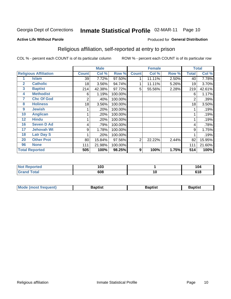#### Inmate Statistical Profile 02-MAR-11 Page 10

#### **Active Life Without Parole**

#### Produced for General Distribution

### Religious affiliation, self-reported at entry to prison

COL % - percent each COUNT is of its particular column

|              |                              |              | <b>Male</b> |         |                | <b>Female</b> |       |                  | <b>Total</b> |
|--------------|------------------------------|--------------|-------------|---------|----------------|---------------|-------|------------------|--------------|
|              | <b>Religious Affiliation</b> | <b>Count</b> | Col %       | Row %   | <b>Count</b>   | Col %         | Row % | <b>Total</b>     | Col %        |
|              | Islam                        | 39           | 7.72%       | 97.50%  |                | 11.11%        | 2.50% | 40               | 7.78%        |
| $\mathbf{2}$ | <b>Catholic</b>              | 18           | 3.56%       | 94.74%  |                | 11.11%        | 5.26% | 19               | 3.70%        |
| 3            | <b>Baptist</b>               | 214          | 42.38%      | 97.72%  | 5              | 55.56%        | 2.28% | 219              | 42.61%       |
| 4            | <b>Methodist</b>             | 6            | 1.19%       | 100.00% |                |               |       | 6                | 1.17%        |
| 7            | <b>Chc Of God</b>            | 2            | .40%        | 100.00% |                |               |       | 2                | .39%         |
| 8            | <b>Holiness</b>              | 18           | 3.56%       | 100.00% |                |               |       | 18               | 3.50%        |
| 9            | <b>Jewish</b>                |              | .20%        | 100.00% |                |               |       |                  | .19%         |
| 10           | <b>Anglican</b>              |              | .20%        | 100.00% |                |               |       |                  | .19%         |
| 12           | <b>Hindu</b>                 |              | .20%        | 100.00% |                |               |       |                  | .19%         |
| 16           | <b>Seven D Ad</b>            | 4            | .79%        | 100.00% |                |               |       | 4                | .78%         |
| 17           | <b>Jehovah Wt</b>            | 9            | 1.78%       | 100.00% |                |               |       | 9                | 1.75%        |
| 18           | <b>Latr Day S</b>            |              | .20%        | 100.00% |                |               |       |                  | .19%         |
| 20           | <b>Other Prot</b>            | 80           | 15.84%      | 97.56%  | $\overline{2}$ | 22.22%        | 2.44% | 82               | 15.95%       |
| 96           | <b>None</b>                  | 111          | 21.98%      | 100.00% |                |               |       | 111              | 21.60%       |
|              | <b>Total Reported</b>        | 505          | 100%        | 98.25%  | 9              | 100%          | 1.75% | $\overline{514}$ | 100%         |

| τeα   | ,<br>ט ו |    | .<br>.,<br>I V4 |
|-------|----------|----|-----------------|
| _____ | 608      | ιv | $C^{\prime}$    |

| <b>Mode (most frequent)</b> | 3aptist | Baptist | Baptist |
|-----------------------------|---------|---------|---------|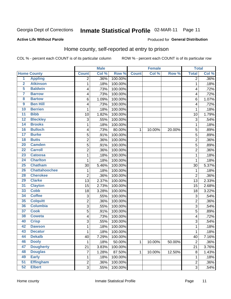#### Inmate Statistical Profile 02-MAR-11 Page 11

**Produced for General Distribution** 

#### **Active Life Without Parole**

### Home county, self-reported at entry to prison

COL % - percent each COUNT is of its particular column

|                  |                      |                | <b>Male</b> |         |              | <b>Female</b> |        | <b>Total</b>   |       |
|------------------|----------------------|----------------|-------------|---------|--------------|---------------|--------|----------------|-------|
|                  | <b>Home County</b>   | <b>Count</b>   | Col %       | Row %   | <b>Count</b> | Col %         | Row %  | <b>Total</b>   | Col % |
| $\overline{1}$   | <b>Appling</b>       | 2              | .36%        | 100.00% |              |               |        | $\overline{2}$ | .36%  |
| $\overline{2}$   | <b>Atkinson</b>      | 1              | .18%        | 100.00% |              |               |        | 1              | .18%  |
| 5                | <b>Baldwin</b>       | 4              | .73%        | 100.00% |              |               |        | 4              | .72%  |
| 7                | <b>Barrow</b>        | 4              | .73%        | 100.00% |              |               |        | 4              | .72%  |
| 8                | <b>Bartow</b>        | 6              | 1.09%       | 100.00% |              |               |        | 6              | 1.07% |
| $\boldsymbol{9}$ | <b>Ben Hill</b>      | 4              | .73%        | 100.00% |              |               |        | 4              | .72%  |
| 10               | <b>Berrien</b>       | 1              | .18%        | 100.00% |              |               |        | 1              | .18%  |
| 11               | <b>Bibb</b>          | 10             | 1.82%       | 100.00% |              |               |        | 10             | 1.79% |
| $\overline{12}$  | <b>Bleckley</b>      | 3              | .55%        | 100.00% |              |               |        | 3              | .54%  |
| 14               | <b>Brooks</b>        | 1              | .18%        | 100.00% |              |               |        | 1              | .18%  |
| 16               | <b>Bulloch</b>       | 4              | .73%        | 80.00%  | 1            | 10.00%        | 20.00% | 5              | .89%  |
| $\overline{17}$  | <b>Burke</b>         | 5              | .91%        | 100.00% |              |               |        | 5              | .89%  |
| $\overline{18}$  | <b>Butts</b>         | $\overline{c}$ | .36%        | 100.00% |              |               |        | $\overline{2}$ | .36%  |
| 20               | <b>Camden</b>        | 5              | .91%        | 100.00% |              |               |        | 5              | .89%  |
| $\overline{22}$  | <b>Carroll</b>       | $\overline{c}$ | .36%        | 100.00% |              |               |        | $\overline{2}$ | .36%  |
| 23               | <b>Catoosa</b>       | 1              | .18%        | 100.00% |              |               |        | 1              | .18%  |
| $\overline{24}$  | <b>Charlton</b>      | 1              | .18%        | 100.00% |              |               |        | 1              | .18%  |
| 25               | <b>Chatham</b>       | 30             | 5.46%       | 100.00% |              |               |        | 30             | 5.37% |
| 26               | <b>Chattahoochee</b> | 1              | .18%        | 100.00% |              |               |        | 1              | .18%  |
| 28               | <b>Cherokee</b>      | $\overline{2}$ | .36%        | 100.00% |              |               |        | $\overline{2}$ | .36%  |
| 29               | <b>Clarke</b>        | 13             | 2.37%       | 100.00% |              |               |        | 13             | 2.33% |
| 31               | <b>Clayton</b>       | 15             | 2.73%       | 100.00% |              |               |        | 15             | 2.68% |
| 33               | <b>Cobb</b>          | 18             | 3.28%       | 100.00% |              |               |        | 18             | 3.22% |
| 34               | <b>Coffee</b>        | 3              | .55%        | 100.00% |              |               |        | 3              | .54%  |
| 35               | <b>Colquitt</b>      | 2              | .36%        | 100.00% |              |               |        | $\overline{2}$ | .36%  |
| 36               | <b>Columbia</b>      | 3              | .55%        | 100.00% |              |               |        | 3              | .54%  |
| $\overline{37}$  | <b>Cook</b>          | $\overline{5}$ | .91%        | 100.00% |              |               |        | 5              | .89%  |
| 38               | <b>Coweta</b>        | 4              | .73%        | 100.00% |              |               |        | 4              | .72%  |
| 40               | <b>Crisp</b>         | 3              | .55%        | 100.00% |              |               |        | 3              | .54%  |
| 42               | <b>Dawson</b>        | 1              | .18%        | 100.00% |              |               |        | 1              | .18%  |
| 43               | <b>Decatur</b>       | 1              | .18%        | 100.00% |              |               |        | 1              | .18%  |
| 44               | <b>Dekalb</b>        | 40             | 7.29%       | 100.00% |              |               |        | 40             | 7.16% |
| 46               | <b>Dooly</b>         | 1              | .18%        | 50.00%  | $\mathbf{1}$ | 10.00%        | 50.00% | $\overline{2}$ | .36%  |
| 47               | <b>Dougherty</b>     | 21             | 3.83%       | 100.00% |              |               |        | 21             | 3.76% |
| 48               | <b>Douglas</b>       | $\overline{7}$ | 1.28%       | 87.50%  | 1            | 10.00%        | 12.50% | 8              | 1.43% |
| 49               | <b>Early</b>         | 1              | .18%        | 100.00% |              |               |        | 1              | .18%  |
| $\overline{51}$  | <b>Effingham</b>     | $\overline{2}$ | .36%        | 100.00% |              |               |        | $\overline{c}$ | .36%  |
| 52               | <b>Elbert</b>        | 3              | .55%        | 100.00% |              |               |        | $\overline{3}$ | .54%  |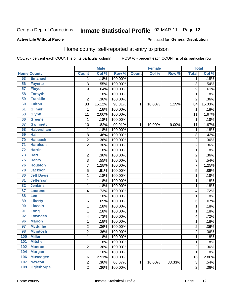# Inmate Statistical Profile 02-MAR-11 Page 12

#### **Active Life Without Parole**

### **Produced for General Distribution**

### Home county, self-reported at entry to prison

COL % - percent each COUNT is of its particular column

|                 |                    |                         | <b>Male</b> |         |              | <b>Female</b> |        | <b>Total</b>   |         |
|-----------------|--------------------|-------------------------|-------------|---------|--------------|---------------|--------|----------------|---------|
|                 | <b>Home County</b> | <b>Count</b>            | Col %       | Row %   | <b>Count</b> | Col %         | Row %  | <b>Total</b>   | Col %   |
| 53              | <b>Emanuel</b>     | 1                       | .18%        | 100.00% |              |               |        | 1              | .18%    |
| 56              | <b>Fayette</b>     | 3                       | .55%        | 100.00% |              |               |        | 3              | .54%    |
| 57              | <b>Floyd</b>       | 9                       | 1.64%       | 100.00% |              |               |        | 9              | 1.61%   |
| 58              | <b>Forsyth</b>     | 1                       | .18%        | 100.00% |              |               |        | 1              | .18%    |
| 59              | <b>Franklin</b>    | $\overline{2}$          | .36%        | 100.00% |              |               |        | $\overline{2}$ | .36%    |
| 60              | <b>Fulton</b>      | 83                      | 15.12%      | 98.81%  | $\mathbf{1}$ | 10.00%        | 1.19%  | 84             | 15.03%  |
| 61              | <b>Gilmer</b>      | $\mathbf 1$             | .18%        | 100.00% |              |               |        | 1              | .18%    |
| 63              | <b>Glynn</b>       | 11                      | 2.00%       | 100.00% |              |               |        | 11             | 1.97%   |
| 66              | <b>Greene</b>      | 1                       | .18%        | 100.00% |              |               |        | 1              | .18%    |
| 67              | <b>Gwinnett</b>    | 10                      | 1.82%       | 90.91%  | $\mathbf{1}$ | 10.00%        | 9.09%  | 11             | 1.97%   |
| 68              | <b>Habersham</b>   | $\mathbf 1$             | .18%        | 100.00% |              |               |        | 1              | .18%    |
| 69              | <b>Hall</b>        | 8                       | 1.46%       | 100.00% |              |               |        | 8              | 1.43%   |
| 70              | <b>Hancock</b>     | $\overline{c}$          | .36%        | 100.00% |              |               |        | $\overline{2}$ | .36%    |
| $\overline{71}$ | <b>Haralson</b>    | $\overline{c}$          | .36%        | 100.00% |              |               |        | $\overline{2}$ | .36%    |
| $\overline{72}$ | <b>Harris</b>      | $\mathbf{1}$            | .18%        | 100.00% |              |               |        | 1              | .18%    |
| $\overline{73}$ | <b>Hart</b>        | $\overline{c}$          | .36%        | 100.00% |              |               |        | $\overline{2}$ | .36%    |
| 75              | <b>Henry</b>       | 3                       | .55%        | 100.00% |              |               |        | 3              | .54%    |
| 76              | <b>Houston</b>     | $\overline{7}$          | 1.28%       | 100.00% |              |               |        | 7              | 1.25%   |
| 78              | <b>Jackson</b>     | 5                       | .91%        | 100.00% |              |               |        | 5              | .89%    |
| 80              | <b>Jeff Davis</b>  | $\mathbf 1$             | .18%        | 100.00% |              |               |        | 1              | .18%    |
| $\overline{81}$ | <b>Jefferson</b>   | $\mathbf 1$             | .18%        | 100.00% |              |               |        | 1              | .18%    |
| 82              | <b>Jenkins</b>     | $\mathbf{1}$            | .18%        | 100.00% |              |               |        | 1              | .18%    |
| 87              | <b>Laurens</b>     | 4                       | .73%        | 100.00% |              |               |        | 4              | .72%    |
| 88              | <b>Lee</b>         | $\mathbf{1}$            | .18%        | 100.00% |              |               |        | 1              | .18%    |
| 89              | <b>Liberty</b>     | 6                       | 1.09%       | 100.00% |              |               |        | 6              | 1.07%   |
| 90              | <b>Lincoln</b>     | $\mathbf{1}$            | .18%        | 100.00% |              |               |        | 1              | .18%    |
| 91              | Long               | $\mathbf 1$             | .18%        | 100.00% |              |               |        | 1              | .18%    |
| 92              | <b>Lowndes</b>     | 4                       | .73%        | 100.00% |              |               |        | 4              | .72%    |
| 96              | <b>Marion</b>      | $\mathbf 1$             | .18%        | 100.00% |              |               |        | 1              | .18%    |
| 97              | <b>Mcduffie</b>    | $\overline{\mathbf{c}}$ | .36%        | 100.00% |              |               |        | $\overline{c}$ | .36%    |
| 98              | <b>Mcintosh</b>    | $\overline{c}$          | .36%        | 100.00% |              |               |        | $\overline{2}$ | .36%    |
| 100             | <b>Miller</b>      | 1                       | .18%        | 100.00% |              |               |        | 1              | .18%    |
| 101             | <b>Mitchell</b>    | $\mathbf{1}$            | .18%        | 100.00% |              |               |        | 1              | .18%    |
| 102             | <b>Monroe</b>      | $\overline{\mathbf{c}}$ | .36%        | 100.00% |              |               |        | $\overline{c}$ | $.36\%$ |
| 104             | <b>Morgan</b>      | $\mathbf{1}$            | .18%        | 100.00% |              |               |        | $\mathbf 1$    | .18%    |
| 106             | <b>Muscogee</b>    | 16                      | 2.91%       | 100.00% |              |               |        | 16             | 2.86%   |
| 107             | <b>Newton</b>      | $\overline{c}$          | .36%        | 66.67%  | $\mathbf{1}$ | 10.00%        | 33.33% | 3              | .54%    |
| 109             | <b>Oglethorpe</b>  | $\overline{2}$          | .36%        | 100.00% |              |               |        | 2              | $.36\%$ |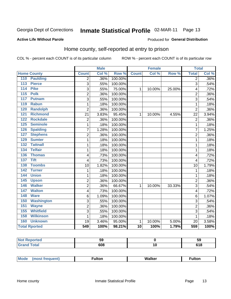# Inmate Statistical Profile 02-MAR-11 Page 13

#### **Active Life Without Parole**

#### **Produced for General Distribution**

### Home county, self-reported at entry to prison

COL % - percent each COUNT is of its particular column

|                  |                      |                | <b>Male</b> |         |                 | <b>Female</b> |        | <b>Total</b>   |       |
|------------------|----------------------|----------------|-------------|---------|-----------------|---------------|--------|----------------|-------|
|                  | <b>Home County</b>   | <b>Count</b>   | Col %       | Row %   | <b>Count</b>    | Col %         | Row %  | <b>Total</b>   | Col % |
| 110              | <b>Paulding</b>      | $\overline{2}$ | .36%        | 100.00% |                 |               |        | $\overline{2}$ | .36%  |
| 113              | <b>Pierce</b>        | 3              | .55%        | 100.00% |                 |               |        | $\overline{3}$ | .54%  |
| 114              | <b>Pike</b>          | 3              | .55%        | 75.00%  | 1               | 10.00%        | 25.00% | 4              | .72%  |
| 115              | <b>Polk</b>          | $\overline{2}$ | .36%        | 100.00% |                 |               |        | $\overline{2}$ | .36%  |
| 117              | <b>Putnam</b>        | 3              | .55%        | 100.00% |                 |               |        | 3              | .54%  |
| 119              | <b>Rabun</b>         | 1              | .18%        | 100.00% |                 |               |        | 1              | .18%  |
| 120              | Randolph             | $\overline{2}$ | .36%        | 100.00% |                 |               |        | $\overline{2}$ | .36%  |
| 121              | <b>Richmond</b>      | 21             | 3.83%       | 95.45%  | $\mathbf{1}$    | 10.00%        | 4.55%  | 22             | 3.94% |
| 122              | <b>Rockdale</b>      | $\overline{c}$ | .36%        | 100.00% |                 |               |        | $\overline{2}$ | .36%  |
| 125              | <b>Seminole</b>      | 1              | .18%        | 100.00% |                 |               |        | 1              | .18%  |
| 126              | <b>Spalding</b>      | $\overline{7}$ | 1.28%       | 100.00% |                 |               |        | $\overline{7}$ | 1.25% |
| 127              | <b>Stephens</b>      | $\overline{2}$ | .36%        | 100.00% |                 |               |        | $\overline{2}$ | .36%  |
| 129              | <b>Sumter</b>        | 1              | .18%        | 100.00% |                 |               |        | 1              | .18%  |
| $\overline{132}$ | <b>Tattnall</b>      | $\mathbf{1}$   | .18%        | 100.00% |                 |               |        | 1              | .18%  |
| 134              | <b>Telfair</b>       | $\mathbf 1$    | .18%        | 100.00% |                 |               |        | 1              | .18%  |
| 136              | <b>Thomas</b>        | 4              | .73%        | 100.00% |                 |               |        | 4              | .72%  |
| 137              | <b>Tift</b>          | 4              | .73%        | 100.00% |                 |               |        | 4              | .72%  |
| 138              | <b>Toombs</b>        | 10             | 1.82%       | 100.00% |                 |               |        | 10             | 1.79% |
| 142              | <b>Turner</b>        | $\mathbf{1}$   | .18%        | 100.00% |                 |               |        | 1              | .18%  |
| 144              | <b>Union</b>         | $\mathbf{1}$   | .18%        | 100.00% |                 |               |        | 1              | .18%  |
| 145              | <b>Upson</b>         | $\overline{2}$ | .36%        | 100.00% |                 |               |        | $\overline{2}$ | .36%  |
| 146              | <b>Walker</b>        | $\overline{c}$ | .36%        | 66.67%  | $\mathbf{1}$    | 10.00%        | 33.33% | 3              | .54%  |
| 147              | <b>Walton</b>        | 4              | .73%        | 100.00% |                 |               |        | 4              | .72%  |
| 148              | <b>Ware</b>          | 6              | 1.09%       | 100.00% |                 |               |        | 6              | 1.07% |
| 150              | <b>Washington</b>    | 3              | .55%        | 100.00% |                 |               |        | 3              | .54%  |
| 151              | <b>Wayne</b>         | $\overline{c}$ | .36%        | 100.00% |                 |               |        | $\overline{2}$ | .36%  |
| 155              | <b>Whitfield</b>     | $\overline{3}$ | .55%        | 100.00% |                 |               |        | 3              | .54%  |
| 158              | <b>Wilkinson</b>     | 1              | .18%        | 100.00% |                 |               |        | 1              | .18%  |
| 160              | <b>Unknown</b>       | 19             | 3.46%       | 95.00%  | $\mathbf{1}$    | 10.00%        | 5.00%  | 20             | 3.58% |
|                  | <b>Total Rported</b> | 549            | 100%        | 98.21%  | $\overline{10}$ | 100%          | 1.79%  | 559            | 100%  |

| <b>orteg</b> | ∽.<br>Jũ |    | -59        |
|--------------|----------|----|------------|
|              | 608      | יי | .<br>v 1 v |

| <b>Mode</b><br>Walker<br>ulton<br>ulton.<br>nos |
|-------------------------------------------------|
|-------------------------------------------------|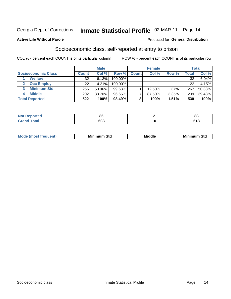# Inmate Statistical Profile 02-MAR-11 Page 14

#### **Active Life Without Parole**

### **Produced for General Distribution**

### Socioeconomic class, self-reported at entry to prison

COL % - percent each COUNT is of its particular column

|                       |              | <b>Male</b> |           |              | <b>Female</b> |       |        | <b>Total</b> |
|-----------------------|--------------|-------------|-----------|--------------|---------------|-------|--------|--------------|
| Socioeconomic Class   | <b>Count</b> | Col %       | Row %     | <b>Count</b> | Col %         | Row % | Total, | Col %        |
| <b>Welfare</b>        | 32           | 6.13%       | 100.00%   |              |               |       | 32     | 6.04%        |
| <b>Occ Employ</b>     | 22           | 4.21%       | 100.00%   |              |               |       | 22     | 4.15%        |
| <b>Minimum Std</b>    | 266          | 50.96%      | $99.63\%$ |              | 12.50%        | .37%  | 267    | 50.38%       |
| <b>Middle</b>         | 202          | 38.70%      | 96.65%    |              | 87.50%        | 3.35% | 209    | 39.43%       |
| <b>Total Reported</b> | 522          | 100%        | 98.49%    |              | 100%          | 1.51% | 530    | 100%         |

| rtea<br><b>NOT</b><br>. | o,<br>оτ | n.<br>oc     |
|-------------------------|----------|--------------|
|                         | 608      | - - -<br>1 Q |

|--|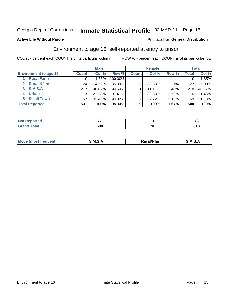# Inmate Statistical Profile 02-MAR-11 Page 15

**Active Life Without Parole** 

#### Produced for General Distribution

### Environment to age 16, self-reported at entry to prison

COL % - percent each COUNT is of its particular column

|                                    |              | <b>Male</b> |           |                | <b>Female</b> |        |                 | <b>Total</b> |
|------------------------------------|--------------|-------------|-----------|----------------|---------------|--------|-----------------|--------------|
| <b>Environment to age 16</b>       | <b>Count</b> | Col %       | Row %     | <b>Count</b>   | Col %         | Row %  | Total           | Col %        |
| <b>Rural/Farm</b>                  | 10           | l.88% l     | 100.00%   |                |               |        | 10 <sub>1</sub> | 1.85%        |
| <b>Rural/Nfarm</b><br>$\mathbf{2}$ | 24           | 4.52%       | 88.89%    | 3              | 33.33%        | 11.11% | 27              | 5.00%        |
| 3 S.M.S.A                          | 217          | 40.87%      | 99.54%    |                | 11.11%        | .46%   | 218             | 40.37%       |
| <b>Urban</b><br>4                  | 113          | 21.28%      | $97.41\%$ | 3 <sub>1</sub> | 33.33%        | 2.59%  | 116             | 21.48%       |
| 5 Small Town                       | 167          | 31.45%      | 98.82%    | 2              | 22.22%        | 1.18%  | 169             | 31.30%       |
| <b>Total Reported</b>              | 531          | 100%        | 98.33%    | 9              | 100%          | 1.67%  | 540             | 100%         |

| <b>rted</b><br>NOT I<br>nepo.<br>$\sim$ | --  |     | -           |
|-----------------------------------------|-----|-----|-------------|
|                                         | 608 | 1 U | - - -<br>10 |

| Mo | M | .<br>----<br>יarm. | M |
|----|---|--------------------|---|
|    |   |                    |   |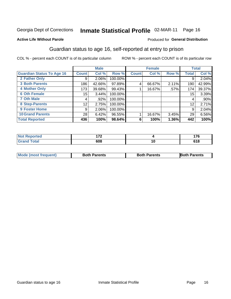# Inmate Statistical Profile 02-MAR-11 Page 16

#### **Active Life Without Parole**

#### Produced for General Distribution

### Guardian status to age 16, self-reported at entry to prison

COL % - percent each COUNT is of its particular column

|                                  |                 | <b>Male</b> |         |              | <b>Female</b> |       |              | <b>Total</b> |
|----------------------------------|-----------------|-------------|---------|--------------|---------------|-------|--------------|--------------|
| <b>Guardian Status To Age 16</b> | <b>Count</b>    | Col %       | Row %   | <b>Count</b> | Col %         | Row % | <b>Total</b> | Col %        |
| 2 Father Only                    | 9               | 2.06%       | 100.00% |              |               |       | 9            | 2.04%        |
| <b>3 Both Parents</b>            | 186             | 42.66%      | 97.89%  | 4            | 66.67%        | 2.11% | 190          | 42.99%       |
| <b>4 Mother Only</b>             | 173             | 39.68%      | 99.43%  |              | 16.67%        | .57%  | 174          | 39.37%       |
| <b>6 Oth Female</b>              | 15 <sub>1</sub> | 3.44%       | 100.00% |              |               |       | 15           | 3.39%        |
| <b>7 Oth Male</b>                | 4               | .92%        | 100.00% |              |               |       | 4            | $.90\%$      |
| 8 Step-Parents                   | 12              | 2.75%       | 100.00% |              |               |       | 12           | 2.71%        |
| 9 Foster Home                    | 9               | 2.06%       | 100.00% |              |               |       | 9            | 2.04%        |
| <b>10 Grand Parents</b>          | 28              | 6.42%       | 96.55%  |              | 16.67%        | 3.45% | 29           | 6.56%        |
| <b>Total Reported</b>            | 436             | 100%        | 98.64%  | 6            | 100%          | 1.36% | 442          | 100%         |

| teto. | .   |    | ィラヘ           |
|-------|-----|----|---------------|
|       | 608 | יי | 34 O<br>) I O |

| <b>Mode (most frequent)</b> | <b>Both Parents</b> | <b>Both Parents</b> | <b>Both Parents</b> |
|-----------------------------|---------------------|---------------------|---------------------|
|                             |                     |                     |                     |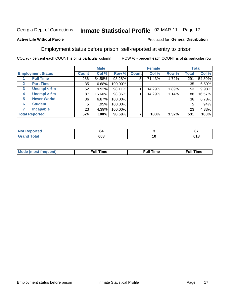# Inmate Statistical Profile 02-MAR-11 Page 17

#### **Active Life Without Parole**

#### Produced for General Distribution

### Employment status before prison, self-reported at entry to prison

COL % - percent each COUNT is of its particular column

|                                  |              | <b>Male</b> |         |              | <b>Female</b> |       |              | <b>Total</b> |
|----------------------------------|--------------|-------------|---------|--------------|---------------|-------|--------------|--------------|
| <b>Employment Status</b>         | <b>Count</b> | Col %       | Row %   | <b>Count</b> | Col %         | Row % | <b>Total</b> | Col %        |
| <b>Full Time</b>                 | 286          | 54.58%      | 98.28%  | 5            | 71.43%        | 1.72% | 291          | 54.80%       |
| <b>Part Time</b><br>$\mathbf{2}$ | 35           | 6.68%       | 100.00% |              |               |       | 35           | 6.59%        |
| Unempl $<$ 6m<br>3               | 52           | 9.92%       | 98.11%  |              | 14.29%        | 1.89% | 53           | 9.98%        |
| Unempl > 6m<br>4                 | 87           | 16.60%      | 98.86%  |              | 14.29%        | 1.14% | 88           | 16.57%       |
| <b>Never Workd</b><br>5          | 36           | 6.87%       | 100.00% |              |               |       | 36           | 6.78%        |
| <b>Student</b><br>6              | 5            | .95%        | 100.00% |              |               |       | 5            | .94%         |
| <b>Incapable</b>                 | 23           | 4.39%       | 100.00% |              |               |       | 23           | 4.33%        |
| <b>Total Reported</b>            | 524          | 100%        | 98.68%  |              | 100%          | 1.32% | 531          | 100%         |

| m.                     | 54     |    | ົ           |
|------------------------|--------|----|-------------|
| тес                    | $\sim$ |    | v,          |
| $f \wedge f \wedge f'$ | 608    | '' | 24 O<br>. . |

| Mc | ∙u∥<br>----<br>ıme | ίuΙ<br>Πmε |
|----|--------------------|------------|
|    |                    |            |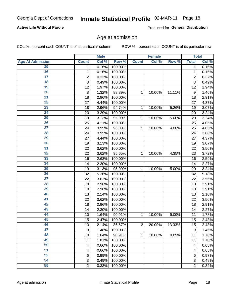### Inmate Statistical Profile 02-MAR-11 Page 18

### **Active Life Without Parole**

Produced for General Distribution

### Age at admission

COL % - percent each COUNT is of its particular column

|                         |                | <b>Male</b> |         |                | <b>Female</b> |        |                  | <b>Total</b> |
|-------------------------|----------------|-------------|---------|----------------|---------------|--------|------------------|--------------|
| <b>Age At Admission</b> | <b>Count</b>   | Col %       | Row %   | <b>Count</b>   | Col %         | Row %  | <b>Total</b>     | Col %        |
| 15                      | 1              | 0.16%       | 100.00% |                |               |        | 1                | 0.16%        |
| 16                      | 1              | 0.16%       | 100.00% |                |               |        | 1                | 0.16%        |
| $\overline{17}$         | $\overline{c}$ | 0.33%       | 100.00% |                |               |        | $\overline{2}$   | 0.32%        |
| 18                      | 3              | 0.49%       | 100.00% |                |               |        | 3                | 0.49%        |
| 19                      | 12             | 1.97%       | 100.00% |                |               |        | 12               | 1.94%        |
| $\overline{20}$         | 8              | 1.32%       | 88.89%  | 1              | 10.00%        | 11.11% | $\boldsymbol{9}$ | 1.46%        |
| $\overline{21}$         | 18             | 2.96%       | 100.00% |                |               |        | 18               | 2.91%        |
| 22                      | 27             | 4.44%       | 100.00% |                |               |        | 27               | 4.37%        |
| $\overline{23}$         | 18             | 2.96%       | 94.74%  | 1              | 10.00%        | 5.26%  | 19               | 3.07%        |
| 24                      | 20             | 3.29%       | 100.00% |                |               |        | 20               | 3.24%        |
| $\overline{25}$         | 19             | 3.13%       | 95.00%  | 1              | 10.00%        | 5.00%  | 20               | 3.24%        |
| 26                      | 25             | 4.11%       | 100.00% |                |               |        | 25               | 4.05%        |
| $\overline{27}$         | 24             | 3.95%       | 96.00%  | 1              | 10.00%        | 4.00%  | 25               | 4.05%        |
| 28                      | 24             | 3.95%       | 100.00% |                |               |        | 24               | 3.88%        |
| 29                      | 27             | 4.44%       | 100.00% |                |               |        | 27               | 4.37%        |
| 30                      | 19             | 3.13%       | 100.00% |                |               |        | 19               | 3.07%        |
| $\overline{31}$         | 22             | 3.62%       | 100.00% |                |               |        | 22               | 3.56%        |
| 32                      | 22             | 3.62%       | 95.65%  | 1              | 10.00%        | 4.35%  | 23               | 3.72%        |
| 33                      | 16             | 2.63%       | 100.00% |                |               |        | 16               | 2.59%        |
| 34                      | 14             | 2.30%       | 100.00% |                |               |        | 14               | 2.27%        |
| 35                      | 19             | 3.13%       | 95.00%  | 1              | 10.00%        | 5.00%  | 20               | 3.24%        |
| 36                      | 32             | 5.26%       | 100.00% |                |               |        | 32               | 5.18%        |
| $\overline{37}$         | 22             | 3.62%       | 100.00% |                |               |        | 22               | 3.56%        |
| 38                      | 18             | 2.96%       | 100.00% |                |               |        | 18               | 2.91%        |
| 39                      | 18             | 2.96%       | 100.00% |                |               |        | 18               | 2.91%        |
| 40                      | 13             | 2.14%       | 100.00% |                |               |        | 13               | 2.10%        |
| 41                      | 22             | 3.62%       | 100.00% |                |               |        | 22               | 3.56%        |
| 42                      | 18             | 2.96%       | 100.00% |                |               |        | 18               | 2.91%        |
| 43                      | 14             | 2.30%       | 100.00% |                |               |        | 14               | 2.27%        |
| 44                      | 10             | 1.64%       | 90.91%  | 1              | 10.00%        | 9.09%  | 11               | 1.78%        |
| 45                      | 15             | 2.47%       | 100.00% |                |               |        | 15               | 2.43%        |
| 46                      | 13             | 2.14%       | 86.67%  | $\overline{2}$ | 20.00%        | 13.33% | 15               | 2.43%        |
| 47                      | 9              | 1.48%       | 100.00% |                |               |        | 9                | 1.46%        |
| 48                      | 10             | 1.64%       | 90.91%  | 1              | 10.00%        | 9.09%  | 11               | 1.78%        |
| 49                      | 11             | 1.81%       | 100.00% |                |               |        | 11               | 1.78%        |
| 50                      | 4              | 0.66%       | 100.00% |                |               |        | 4                | 0.65%        |
| $\overline{51}$         | 4              | 0.66%       | 100.00% |                |               |        | 4                | 0.65%        |
| 52                      | 6              | 0.99%       | 100.00% |                |               |        | 6                | 0.97%        |
| 54                      | 3              | 0.49%       | 100.00% |                |               |        | 3                | 0.49%        |
| 55                      | $\overline{2}$ | 0.33%       | 100.00% |                |               |        | $\overline{2}$   | 0.32%        |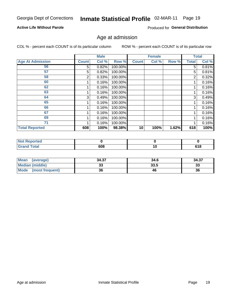### Inmate Statistical Profile 02-MAR-11 Page 19

### **Active Life Without Parole**

Produced for General Distribution

### Age at admission

COL % - percent each COUNT is of its particular column

|                         |              | <b>Male</b> |         |              | <b>Female</b> |       |              | <b>Total</b> |
|-------------------------|--------------|-------------|---------|--------------|---------------|-------|--------------|--------------|
| <b>Age At Admission</b> | <b>Count</b> | Col %       | Row %   | <b>Count</b> | Col %         | Row % | <b>Total</b> | Col %        |
| 56                      | 5            | 0.82%       | 100.00% |              |               |       | 5            | 0.81%        |
| 57                      | 5            | 0.82%       | 100.00% |              |               |       | 5            | 0.81%        |
| 58                      | 2            | 0.33%       | 100.00% |              |               |       | 2            | 0.32%        |
| 60                      |              | 0.16%       | 100.00% |              |               |       |              | 0.16%        |
| 62                      |              | 0.16%       | 100.00% |              |               |       |              | 0.16%        |
| 63                      |              | 0.16%       | 100.00% |              |               |       |              | 0.16%        |
| 64                      | 3            | 0.49%       | 100.00% |              |               |       | 3            | 0.49%        |
| 65                      |              | 0.16%       | 100.00% |              |               |       |              | 0.16%        |
| 66                      |              | 0.16%       | 100.00% |              |               |       |              | 0.16%        |
| 67                      |              | 0.16%       | 100.00% |              |               |       |              | 0.16%        |
| 69                      |              | 0.16%       | 100.00% |              |               |       |              | 0.16%        |
| 71                      |              | 0.16%       | 100.00% |              |               |       |              | 0.16%        |
| <b>Total Reported</b>   | 608          | 100%        | 98.38%  | 10           | 100%          | 1.62% | 618          | 100%         |

| N <sub>of</sub><br>ported |     |    |     |
|---------------------------|-----|----|-----|
| int<br>_____              | 608 | ιv | 618 |

| <b>Mean</b><br>(average)       | 34.37 | 34.6 | 34.37    |
|--------------------------------|-------|------|----------|
| <b>Median (middle)</b>         | ູບປ   | 33.5 | າາ<br>دد |
| <b>Mode</b><br>(most frequent) | 36    | 46   | 36       |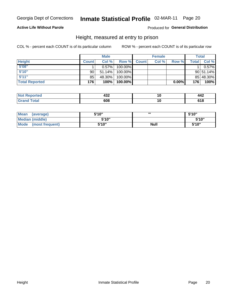### Inmate Statistical Profile 02-MAR-11 Page 20

### **Active Life Without Parole**

Produced for General Distribution

### Height, measured at entry to prison

COL % - percent each COUNT is of its particular column

|                       |                 | <b>Male</b> |         |              | <b>Female</b> |          |       | Total         |
|-----------------------|-----------------|-------------|---------|--------------|---------------|----------|-------|---------------|
| <b>Height</b>         | <b>Count</b>    | Col %       | Row %   | <b>Count</b> | Col %         | Row %    | Total | Col %         |
| 5'08''                |                 | $0.57\%$    | 100.00% |              |               |          |       | 0.57%         |
| 5'10''                | 90 <sub>1</sub> | 51.14%      | 100.00% |              |               |          |       | $90 51.14\% $ |
| 5'11''                | 85              | 48.30%      | 100.00% |              |               |          |       | 85 48.30%     |
| <b>Total Reported</b> | 176             | 100%        | 100.00% |              |               | $0.00\%$ | 176   | 100%          |

| <b>Not</b><br><b>orted</b><br>- 11 | ההו<br>4JZ | ιu | $\mathbf{A}$<br>44 L |
|------------------------------------|------------|----|----------------------|
| <b>c</b> otal<br>'Grand            | 608        | ιu |                      |

| Mean<br>(average)              | 5'10" | ш           | 5'10" |
|--------------------------------|-------|-------------|-------|
| Median (middle)                | 5'10" |             | 5'10" |
| <b>Mode</b><br>(most frequent) | 5'10" | <b>Null</b> | 5'10" |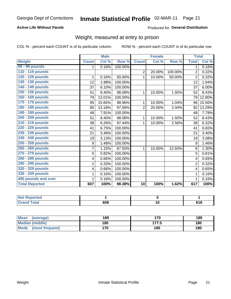### Inmate Statistical Profile 02-MAR-11 Page 21

### **Active Life Without Parole**

#### Produced for General Distribution

### Weight, measured at entry to prison

COL % - percent each COUNT is of its particular column

|                       |                | <b>Male</b> |         |                 | <b>Female</b> |         | <b>Total</b>   |                            |
|-----------------------|----------------|-------------|---------|-----------------|---------------|---------|----------------|----------------------------|
| <b>Weight</b>         | <b>Count</b>   | Col %       | Row %   | <b>Count</b>    | Col %         | Row %   | <b>Total</b>   | $\overline{\text{Col }^9}$ |
| 90 - 99 pounds        | 1              | 0.16%       | 100.00% |                 |               |         | 1              | 0.16%                      |
| 110 - 119 pounds      |                |             |         | $\overline{2}$  | 20.00%        | 100.00% | $\overline{2}$ | 0.32%                      |
| 120 - 129 pounds      | 1              | 0.16%       | 50.00%  | 1               | 10.00%        | 50.00%  | 2              | 0.32%                      |
| 130 - 139 pounds      | 12             | 1.98%       | 100.00% |                 |               |         | 12             | 1.94%                      |
| 140 - 149 pounds      | 37             | 6.10%       | 100.00% |                 |               |         | 37             | 6.00%                      |
| 150 - 159 pounds      | 51             | 8.40%       | 98.08%  | 1               | 10.00%        | 1.92%   | 52             | 8.43%                      |
| 160 - 169 pounds      | 79             | 13.01%      | 100.00% |                 |               |         | 79             | 12.80%                     |
| 170 - 179 pounds      | 95             | 15.65%      | 98.96%  | 1               | 10.00%        | 1.04%   | 96             | 15.56%                     |
| 180 - 189 pounds      | 80             | 13.18%      | 97.56%  | $\overline{2}$  | 20.00%        | 2.44%   | 82             | 13.29%                     |
| 190 - 199 pounds      | 48             | 7.91%       | 100.00% |                 |               |         | 48             | 7.78%                      |
| 200 - 209 pounds      | 51             | 8.40%       | 98.08%  | 1               | 10.00%        | 1.92%   | 52             | 8.43%                      |
| 210 - 219 pounds      | 38             | 6.26%       | 97.44%  | 1               | 10.00%        | 2.56%   | 39             | 6.32%                      |
| 220 - 229 pounds      | 41             | 6.75%       | 100.00% |                 |               |         | 41             | 6.65%                      |
| 230 - 239 pounds      | 21             | 3.46%       | 100.00% |                 |               |         | 21             | 3.40%                      |
| 240 - 249 pounds      | 19             | 3.13%       | 100.00% |                 |               |         | 19             | 3.08%                      |
| 250 - 259 pounds      | 9              | 1.48%       | 100.00% |                 |               |         | 9              | 1.46%                      |
| 260 - 269 pounds      | $\overline{7}$ | 1.15%       | 87.50%  | 1               | 10.00%        | 12.50%  | 8              | 1.30%                      |
| 270 - 279 pounds      | 5              | 0.82%       | 100.00% |                 |               |         | 5              | 0.81%                      |
| 280 - 289 pounds      | 4              | 0.66%       | 100.00% |                 |               |         | 4              | 0.65%                      |
| 290 - 299 pounds      | $\overline{2}$ | 0.33%       | 100.00% |                 |               |         | $\overline{2}$ | 0.32%                      |
| 320 - 329 pounds      | 4              | 0.66%       | 100.00% |                 |               |         | 4              | 0.65%                      |
| 330 - 339 pounds      | 1              | 0.16%       | 100.00% |                 |               |         | 1              | 0.16%                      |
| 400 pounds and over   | 1              | 0.16%       | 100.00% |                 |               |         |                | 0.16%                      |
| <b>Total Reported</b> | 607            | 100%        | 98.38%  | $\overline{10}$ | 100%          | 1.62%   | 617            | 100%                       |

| <b>orted</b><br><b>NOT</b> |     |     |
|----------------------------|-----|-----|
| int<br>_____               | 608 | 618 |

| <b>Mean</b><br>(average)       | 189 | 170   | 189 |
|--------------------------------|-----|-------|-----|
| <b>Median (middle)</b>         | 180 | 177.5 | 180 |
| <b>Mode</b><br>(most frequent) | 170 | 180   | 180 |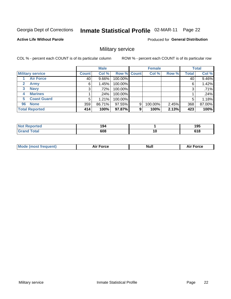#### Inmate Statistical Profile 02-MAR-11 Page 22

**Active Life Without Parole** 

Produced for General Distribution

### Military service

COL % - percent each COUNT is of its particular column

|                             |              | <b>Male</b> |             |   | <b>Female</b> |       |              | <b>Total</b> |
|-----------------------------|--------------|-------------|-------------|---|---------------|-------|--------------|--------------|
| <b>Military service</b>     | <b>Count</b> | Col %       | Row % Count |   | Col %         | Row % | <b>Total</b> | Col %        |
| <b>Air Force</b>            | 40           | $9.66\%$    | 100.00%     |   |               |       | 40           | 9.46%        |
| $\mathbf{2}$<br><b>Army</b> | 6            | 1.45%       | 100.00%     |   |               |       | 6            | 1.42%        |
| <b>Navy</b><br>3            | 3            | .72%        | 100.00%     |   |               |       | 3            | .71%         |
| <b>Marines</b><br>4         |              | $.24\%$     | 100.00%     |   |               |       |              | .24%         |
| <b>Coast Guard</b><br>5     | 5            | 1.21%       | 100.00%     |   |               |       | 5            | 1.18%        |
| <b>None</b><br>96           | 359          | 86.71%      | 97.55%      | 9 | 100.00%       | 2.45% | 368          | 87.00%       |
| <b>Total Reported</b>       | 414          | 100%        | 97.87%      | 9 | 100%          | 2.13% | 423          | 100%         |

| <b>orted</b> | 194<br>___ |    | 105<br>197          |
|--------------|------------|----|---------------------|
| Гоtal        | 608        | 10 | <b>040</b><br>v 1 u |

|  |  | <b>Mode</b><br>uent)<br>most tren | Force<br>Aır | <b>Null</b> | orce |
|--|--|-----------------------------------|--------------|-------------|------|
|--|--|-----------------------------------|--------------|-------------|------|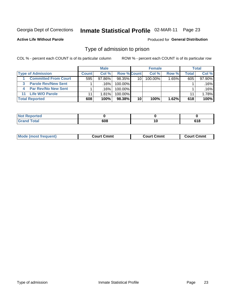# Inmate Statistical Profile 02-MAR-11 Page 23

**Active Life Without Parole** 

Produced for General Distribution

### Type of admission to prison

COL % - percent each COUNT is of its particular column

|                                 |              | <b>Male</b> |                    |    | <b>Female</b> |          |       | Total  |
|---------------------------------|--------------|-------------|--------------------|----|---------------|----------|-------|--------|
| <b>Type of Admission</b>        | <b>Count</b> | Col %       | <b>Row % Count</b> |    | Col %         | Row %    | Total | Col %  |
| <b>Committed From Court</b>     | 595          | $97.86\%$   | 98.35%             | 10 | 100.00%       | $1.65\%$ | 605   | 97.90% |
| <b>Parole Rev/New Sent</b><br>3 |              | .16%        | 100.00%            |    |               |          |       | .16%   |
| <b>Par Rev/No New Sent</b>      |              | .16%        | 100.00%            |    |               |          |       | .16%   |
| 11 Life W/O Parole              | 11           | 1.81%       | 100.00%            |    |               |          | 11    | 1.78%  |
| <b>Total Reported</b>           | 608          | 100%        | 98.38%             | 10 | 100%          | 1.62%    | 618   | 100%   |

| <b>rted</b>                              |        |                     |
|------------------------------------------|--------|---------------------|
| $C = 4$<br>$\sim$ $\sim$ $\sim$<br>_____ | $\sim$ | C40<br>0 I O<br>- - |

| <b>Mode (most frequent)</b><br>Court Cmmt<br>Court Cmmt<br>Court Cmmt |
|-----------------------------------------------------------------------|
|-----------------------------------------------------------------------|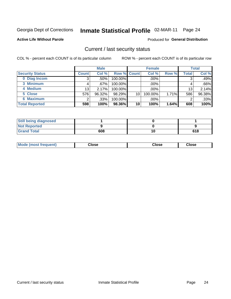# Inmate Statistical Profile 02-MAR-11 Page 24

**Active Life Without Parole** 

### **Produced for General Distribution**

### Current / last security status

COL % - percent each COUNT is of its particular column

|                        |              | <b>Male</b> |             |    | <b>Female</b> |       |                 | <b>Total</b> |
|------------------------|--------------|-------------|-------------|----|---------------|-------|-----------------|--------------|
| <b>Security Status</b> | <b>Count</b> | Col %       | Row % Count |    | Col %         | Row % | Total           | Col %        |
| 0 Diag Incom           | 3            | .50%        | 100.00%     |    | .00%          |       | 3               | .49%         |
| 3 Minimum              |              | .67%        | $100.00\%$  |    | .00%          |       |                 | .66%         |
| 4 Medium               | 13           | 2.17%       | 100.00%     |    | .00%          |       | 13 <sub>1</sub> | 2.14%        |
| 5 Close                | 576          | 96.32%      | 98.29%      | 10 | 100.00%       | 1.71% | 586             | 96.38%       |
| 6 Maximum              | ົ            | .33%        | 100.00%     |    | .00%          |       | 2               | .33%         |
| <b>Total Reported</b>  | 598          | 100%        | 98.36%      | 10 | 100%          | 1.64% | 608             | 100%         |

| <b>Still being diagnosed</b> |     |     |
|------------------------------|-----|-----|
| <b>Not Reported</b>          |     |     |
| <b>Grand Total</b>           | 608 | 618 |

| Mode (most<br><b>Close</b><br>Close<br>Close<br>frequent) |
|-----------------------------------------------------------|
|-----------------------------------------------------------|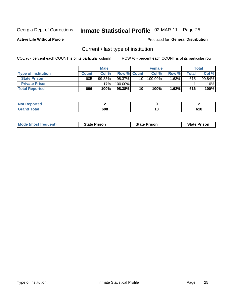# Inmate Statistical Profile 02-MAR-11 Page 25

**Active Life Without Parole** 

Produced for General Distribution

### Current / last type of institution

COL % - percent each COUNT is of its particular column

|                            |              | <b>Male</b> |                    |                 | <b>Female</b> |        |                    | <b>Total</b> |
|----------------------------|--------------|-------------|--------------------|-----------------|---------------|--------|--------------------|--------------|
| <b>Type of Institution</b> | <b>Count</b> | Col %       | <b>Row % Count</b> |                 | Col %         | Row %  | $\mathsf{Total}$ i | Col %        |
| <b>State Prison</b>        | 605          | 99.83%      | 98.37%             | 10 <sup>1</sup> | 100.00%       | 1.63%∎ | 615                | 99.84%       |
| <b>Private Prison</b>      |              | 17%         | 100.00%            |                 |               |        |                    | $.16\%$      |
| <b>Total Reported</b>      | 606          | 100%        | 98.38%             | 10              | 100%          | 1.62%  | 616                | 100%         |

| المراجع بالقمع<br>τeα |     |             |
|-----------------------|-----|-------------|
| <b>otal</b>           | 608 | 0.40<br>,,, |

| <b>Mode (most frequent)</b> | <b>State Prison</b> | <b>State Prison</b> | <b>State Prison</b> |
|-----------------------------|---------------------|---------------------|---------------------|
|                             |                     |                     |                     |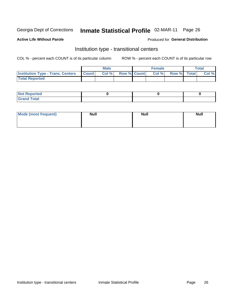# Inmate Statistical Profile 02-MAR-11 Page 26

#### **Active Life Without Parole**

#### Produced for General Distribution

### Institution type - transitional centers

COL % - percent each COUNT is of its particular column

|                                                | Male  |                    | <b>Female</b> |                   | Total |
|------------------------------------------------|-------|--------------------|---------------|-------------------|-------|
| <b>Institution Type - Trans. Centers Count</b> | Col % | <b>Row % Count</b> |               | Col % Row % Total | Col % |
| <b>Total Reported</b>                          |       |                    |               |                   |       |

| <b>Reported</b><br><b>NOT</b><br>$\sim$            |  |  |
|----------------------------------------------------|--|--|
| $f$ $f \circ f \circ f$<br>$C = 1$<br><b>TULAI</b> |  |  |

| Mode (most frequent) | <b>Null</b> | <b>Null</b> | <b>Null</b> |
|----------------------|-------------|-------------|-------------|
|                      |             |             |             |
|                      |             |             |             |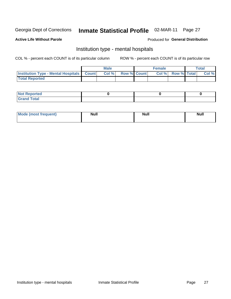# Inmate Statistical Profile 02-MAR-11 Page 27

#### **Active Life Without Parole**

#### Produced for General Distribution

### Institution type - mental hospitals

COL % - percent each COUNT is of its particular column

|                                                  | Male  |                    | <b>Female</b> |                   | <b>Total</b> |
|--------------------------------------------------|-------|--------------------|---------------|-------------------|--------------|
| <b>Institution Type - Mental Hospitals Count</b> | Col % | <b>Row % Count</b> |               | Col % Row % Total | Col %        |
| <b>Total Reported</b>                            |       |                    |               |                   |              |

| <b>Not Reported</b>   |  |  |
|-----------------------|--|--|
| <b>Total</b><br>_____ |  |  |

| Mode.<br>frequent) | <b>Nul</b><br>_____ | <b>Null</b> | <b>Null</b> |
|--------------------|---------------------|-------------|-------------|
|                    |                     |             |             |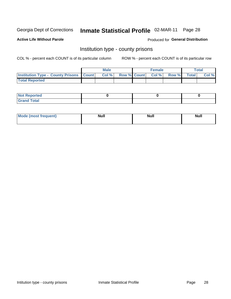# Inmate Statistical Profile 02-MAR-11 Page 28

**Active Life Without Parole** 

**Produced for General Distribution** 

### Institution type - county prisons

COL % - percent each COUNT is of its particular column

|                                                    | <b>Male</b> |                          | <b>Female</b> |             | <b>Total</b> |
|----------------------------------------------------|-------------|--------------------------|---------------|-------------|--------------|
| <b>Institution Type - County Prisons   Count  </b> | Col %       | <b>Row % Count Col %</b> |               | Row % Total | Col %        |
| <b>Total Reported</b>                              |             |                          |               |             |              |

| <b>Not Reported</b>   |  |  |
|-----------------------|--|--|
| <b>Total</b><br>Granc |  |  |

| <b>Mode</b>      | <b>Null</b> | <b>Null</b> | <b>Null</b> |  |
|------------------|-------------|-------------|-------------|--|
| (most freauent). |             |             |             |  |
|                  |             |             |             |  |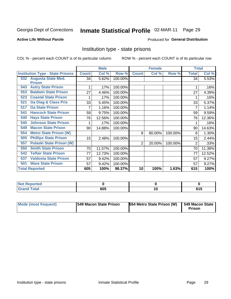# Inmate Statistical Profile 02-MAR-11 Page 29

#### **Active Life Without Parole**

#### Produced for General Distribution

### Institution type - state prisons

COL % - percent each COUNT is of its particular column

|                                         |              | <b>Male</b> |         |                | <b>Female</b> |         | <b>Total</b> |        |
|-----------------------------------------|--------------|-------------|---------|----------------|---------------|---------|--------------|--------|
| <b>Institution Type - State Prisons</b> | <b>Count</b> | Col %       | Row %   | <b>Count</b>   | Col %         | Row %   | <b>Total</b> | Col %  |
| 532 Augusta State Med.                  | 34           | 5.62%       | 100.00% |                |               |         | 34           | 5.53%  |
| <b>Prison</b>                           |              |             |         |                |               |         |              |        |
| <b>Autry State Prison</b><br>543        |              | .17%        | 100.00% |                |               |         |              | .16%   |
| <b>Baldwin State Prison</b><br>553      | 27           | 4.46%       | 100.00% |                |               |         | 27           | 4.39%  |
| <b>Coastal State Prison</b><br>523      |              | .17%        | 100.00% |                |               |         |              | .16%   |
| <b>Ga Diag &amp; Class Pris</b><br>521  | 33           | 5.45%       | 100.00% |                |               |         | 33           | 5.37%  |
| <b>Ga State Prison</b><br>517           |              | 1.16%       | 100.00% |                |               |         |              | 1.14%  |
| <b>Hancock State Prison</b><br>541      | 59           | 9.75%       | 100.00% |                |               |         | 59           | 9.59%  |
| <b>Hays State Prison</b><br>540         | 76           | 12.56%      | 100.00% |                |               |         | 76           | 12.36% |
| <b>Johnson State Prison</b><br>545      |              | .17%        | 100.00% |                |               |         |              | .16%   |
| <b>Macon State Prison</b><br>549        | 90           | 14.88%      | 100.00% |                |               |         | 90           | 14.63% |
| <b>Metro State Prison (W)</b><br>554    |              |             |         | 8              | 80.00%        | 100.00% | 8            | 1.30%  |
| <b>Phillips State Prison</b><br>505     | 15           | 2.48%       | 100.00% |                |               |         | 15           | 2.44%  |
| <b>Pulaski State Prison (W)</b><br>557  |              |             |         | $\overline{2}$ | 20.00%        | 100.00% | 2            | .33%   |
| <b>Smith State Prison</b><br>550        | 70           | 11.57%      | 100.00% |                |               |         | 70           | 11.38% |
| <b>Telfair State Prison</b><br>542      | 77           | 12.73%      | 100.00% |                |               |         | 77           | 12.52% |
| <b>Valdosta State Prison</b><br>537     | 57           | 9.42%       | 100.00% |                |               |         | 57           | 9.27%  |
| <b>Ware State Prison</b><br>501         | 57           | 9.42%       | 100.00% |                |               |         | 57           | 9.27%  |
| <b>Total Reported</b>                   | 605          | 100%        | 98.37%  | 10             | 100%          | 1.63%   | 615          | 100%   |

| <b>Reported</b><br><b>NOT</b><br>$\sim$ |     |  |
|-----------------------------------------|-----|--|
| <b>Total</b>                            | 605 |  |

| <b>Mode (most frequent)</b> | <b>1549 Macon State Prison</b> | 554 Metro State Prison (W) | $\overline{549}$ Macon State<br><b>Prison</b> |
|-----------------------------|--------------------------------|----------------------------|-----------------------------------------------|
|-----------------------------|--------------------------------|----------------------------|-----------------------------------------------|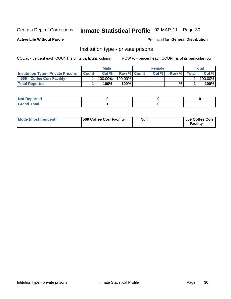# Inmate Statistical Profile 02-MAR-11 Page 30

**Active Life Without Parole** 

Produced for General Distribution

### Institution type - private prisons

COL % - percent each COUNT is of its particular column

|                                           |              | Male       |                    | <b>Female</b> |       |              | Total   |
|-------------------------------------------|--------------|------------|--------------------|---------------|-------|--------------|---------|
| <b>Institution Type - Private Prisons</b> | <b>Count</b> | Col%       | <b>Row % Count</b> | Col%          | Row % | <b>Total</b> | Col %   |
| 569<br><b>Coffee Corr Facility</b>        |              | $100.00\%$ | 100.00%            |               |       |              | 100.00% |
| <b>Total Reported</b>                     |              | $100\%$ .  | 100%               |               | %     |              | 100%    |

| Not Reported |  |  |
|--------------|--|--|
|              |  |  |

| Mode (most frequent) | 569 Coffee Corr Facility | <b>Null</b> | 569 Coffee Corr<br><b>Facility</b> |
|----------------------|--------------------------|-------------|------------------------------------|
|----------------------|--------------------------|-------------|------------------------------------|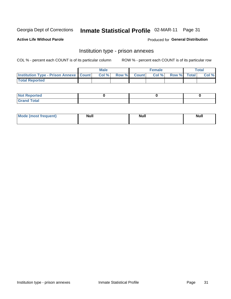# Inmate Statistical Profile 02-MAR-11 Page 31

**Active Life Without Parole** 

Produced for General Distribution

## Institution type - prison annexes

COL % - percent each COUNT is of its particular column

|                                                   | <b>Male</b> |              |       | <b>Female</b> |                    | <b>Total</b> |
|---------------------------------------------------|-------------|--------------|-------|---------------|--------------------|--------------|
| <b>Institution Type - Prison Annexe   Count  </b> | Col %       | <b>Row %</b> | Count | Col %         | <b>Row %</b> Total | Col %        |
| <b>Total Reported</b>                             |             |              |       |               |                    |              |

| <b>Reported</b><br>I NOT                      |  |  |
|-----------------------------------------------|--|--|
| <b>Total</b><br>Carar<br>$\sim$ . When $\sim$ |  |  |

| $^{\prime}$ Mo <sub>t</sub><br>frequent)<br>⊥(most | <b>Null</b> | Noll<br><b>vull</b> | <b>Null</b> |
|----------------------------------------------------|-------------|---------------------|-------------|
|                                                    |             |                     |             |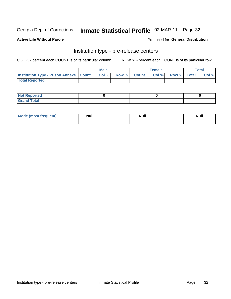# Inmate Statistical Profile 02-MAR-11 Page 32

**Active Life Without Parole** 

Produced for General Distribution

# Institution type - pre-release centers

COL % - percent each COUNT is of its particular column

|                                                   | <b>Male</b> |              |       | <b>Female</b> |                    | <b>Total</b> |
|---------------------------------------------------|-------------|--------------|-------|---------------|--------------------|--------------|
| <b>Institution Type - Prison Annexe   Count  </b> | Col %       | <b>Row %</b> | Count | Col %         | <b>Row %</b> Total | Col %        |
| <b>Total Reported</b>                             |             |              |       |               |                    |              |

| <b>Reported</b><br>I NOT |  |  |
|--------------------------|--|--|
| <b>Total</b><br>$C$ ren  |  |  |

| $^{\prime}$ Mo <sub>t</sub><br>frequent)<br>⊥(most | <b>Null</b> | Noll<br><b>vull</b> | <b>Null</b> |
|----------------------------------------------------|-------------|---------------------|-------------|
|                                                    |             |                     |             |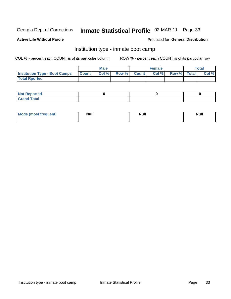# Inmate Statistical Profile 02-MAR-11 Page 33

#### **Active Life Without Parole**

### **Produced for General Distribution**

### Institution type - inmate boot camp

COL % - percent each COUNT is of its particular column

|                                      |              | <b>Male</b> |             | <b>Female</b> |             | Total |
|--------------------------------------|--------------|-------------|-------------|---------------|-------------|-------|
| <b>Institution Type - Boot Camps</b> | <b>Count</b> | Col %       | Row % Count | Col%          | Row % Total | Col % |
| <b>Total Rported</b>                 |              |             |             |               |             |       |

| <b>Not Reported</b> |  |  |
|---------------------|--|--|
| <b>Total</b><br>Cro |  |  |

| <b>I Mode (most frequent)</b> | <b>Null</b> | <b>Null</b> | <b>Null</b> |
|-------------------------------|-------------|-------------|-------------|
|                               |             |             |             |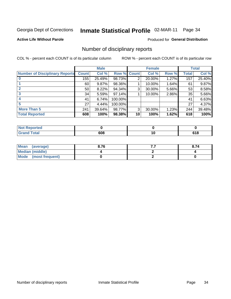# Inmate Statistical Profile 02-MAR-11 Page 34

#### **Active Life Without Parole**

### **Produced for General Distribution**

### Number of disciplinary reports

COL % - percent each COUNT is of its particular column

|                                       |              | <b>Male</b> |             |                | <b>Female</b> |       |              | <b>Total</b> |
|---------------------------------------|--------------|-------------|-------------|----------------|---------------|-------|--------------|--------------|
| <b>Number of Disciplinary Reports</b> | <b>Count</b> | Col %       | Row % Count |                | Col %         | Row % | <b>Total</b> | Col %        |
|                                       | 155          | 25.49%      | 98.73%      | $\overline{2}$ | 20.00%        | 1.27% | 157          | 25.40%       |
|                                       | 60           | 9.87%       | 98.36%      |                | 10.00%        | 1.64% | 61           | 9.87%        |
| $\mathbf{2}$                          | 50           | 8.22%       | 94.34%      | 3              | 30.00%        | 5.66% | 53           | 8.58%        |
| 3                                     | 34           | 5.59%       | 97.14%      |                | 10.00%        | 2.86% | 35           | 5.66%        |
|                                       | 41           | 6.74%       | 100.00%     |                |               |       | 41           | 6.63%        |
| 5                                     | 27           | 4.44%       | 100.00%     |                |               |       | 27           | 4.37%        |
| <b>More Than 5</b>                    | 241          | 39.64%      | 98.77%      | 3              | 30.00%        | 1.23% | 244          | 39.48%       |
| <b>Total Reported</b>                 | 608          | 100%        | 98.38%      | 10             | 100%          | 1.62% | 618          | 100%         |

| NO<br>тео |     |     |
|-----------|-----|-----|
| Total     | 608 | ulu |

| Mean (average)         | 8.76 | . | 8.74 |
|------------------------|------|---|------|
| <b>Median (middle)</b> |      |   |      |
| Mode (most frequent)   |      |   |      |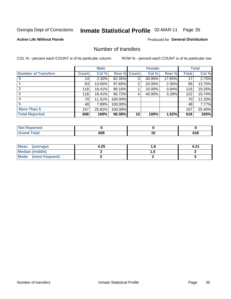# Inmate Statistical Profile 02-MAR-11 Page 35

**Active Life Without Parole** 

**Produced for General Distribution** 

### Number of transfers

COL % - percent each COUNT is of its particular column

|                            |              | <b>Male</b> |             |    | <b>Female</b> |        |              | <b>Total</b> |
|----------------------------|--------------|-------------|-------------|----|---------------|--------|--------------|--------------|
| <b>Number of Transfers</b> | <b>Count</b> | Col %       | Row % Count |    | Col %         | Row %  | <b>Total</b> | Col %        |
|                            | 14           | $2.30\%$    | 82.35%      | 3  | 30.00%        | 17.65% | 17           | 2.75%        |
|                            | 83           | 13.65%      | 97.65%      | 2  | 20.00%        | 2.35%  | 85           | 13.75%       |
| $\mathbf{2}$               | 118          | 19.41%      | 99.16%      |    | 10.00%        | 0.84%  | 119          | 19.26%       |
| 3                          | 118          | 19.41%      | 96.72%      | 4  | 40.00%        | 3.28%  | 122          | 19.74%       |
|                            | 70           | 11.51%      | 100.00%     |    |               |        | 70           | 11.33%       |
| 5                          | 48           | 7.89%       | 100.00%     |    |               |        | 48           | 7.77%        |
| <b>More Than 5</b>         | 157          | 25.82%      | 100.00%     |    |               |        | 157          | 25.40%       |
| <b>Total Reported</b>      | 608          | 100%        | 98.38%      | 10 | 100%          | 1.62%  | 618          | 100%         |

| <b>orted</b><br>NOT |     |    |  |
|---------------------|-----|----|--|
| Total               | 608 | 10 |  |

| Mean (average)       | 4.25 | . . | 4.2. |
|----------------------|------|-----|------|
| Median (middle)      |      |     |      |
| Mode (most frequent) |      |     |      |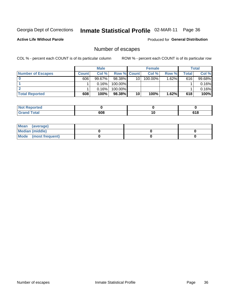# Inmate Statistical Profile 02-MAR-11 Page 36

**Active Life Without Parole** 

**Produced for General Distribution** 

### Number of escapes

COL % - percent each COUNT is of its particular column

|                          |              | <b>Male</b> |                    |    | <b>Female</b> |          |       | <b>Total</b> |
|--------------------------|--------------|-------------|--------------------|----|---------------|----------|-------|--------------|
| <b>Number of Escapes</b> | <b>Count</b> | Col%        | <b>Row % Count</b> |    | Col %         | Row %    | Total | Col %        |
|                          | 606          | $99.67\%$   | 98.38%             | 10 | $100.00\%$    | $1.62\%$ | 616   | 99.68%       |
|                          |              | 0.16%       | 100.00%            |    |               |          |       | 0.16%        |
|                          |              | 0.16%       | 100.00%            |    |               |          |       | 0.16%        |
| <b>Total Reported</b>    | 608          | 100%        | 98.38%             | 10 | 100%          | 1.62%    | 618   | 100%         |

| <b>Not Reported</b> |     |                |
|---------------------|-----|----------------|
| <b>Grand Total</b>  | 608 | C 1 0<br>0 I O |

| Mean (average)       |  |  |
|----------------------|--|--|
| Median (middle)      |  |  |
| Mode (most frequent) |  |  |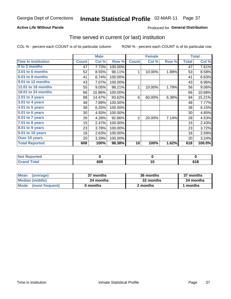### **Active Life Without Parole**

### **Produced for General Distribution**

### Time served in current (or last) institution

COL % - percent each COUNT is of its particular column

|                            |              | <b>Male</b> |         | <b>Female</b>  |        |       | <b>Total</b> |        |
|----------------------------|--------------|-------------|---------|----------------|--------|-------|--------------|--------|
| <b>Time In Institution</b> | <b>Count</b> | Col %       | Row %   | <b>Count</b>   | Col %  | Row % | <b>Total</b> | Col %  |
| 0 to 3 months              | 47           | 7.73%       | 100.00% |                |        |       | 47           | 7.61%  |
| <b>3.01 to 6 months</b>    | 52           | 8.55%       | 98.11%  | 1              | 10.00% | 1.89% | 53           | 8.58%  |
| 6.01 to 9 months           | 41           | 6.74%       | 100.00% |                |        |       | 41           | 6.63%  |
| 9.01 to 12 months          | 43           | 7.07%       | 100.00% |                |        |       | 43           | 6.96%  |
| 12.01 to 18 months         | 55           | 9.05%       | 98.21%  | 1              | 10.00% | 1.79% | 56           | 9.06%  |
| 18.01 to 24 months         | 66           | 10.86%      | 100.00% |                |        |       | 66           | 10.68% |
| 2.01 to 3 years            | 88           | 14.47%      | 93.62%  | 6              | 60.00% | 6.38% | 94           | 15.21% |
| 3.01 to 4 years            | 48           | 7.89%       | 100.00% |                |        |       | 48           | 7.77%  |
| 4.01 to 5 years            | 38           | 6.25%       | 100.00% |                |        |       | 38           | 6.15%  |
| 5.01 to 6 years            | 30           | 4.93%       | 100.00% |                |        |       | 30           | 4.85%  |
| 6.01 to 7 years            | 26           | 4.28%       | 92.86%  | $\overline{2}$ | 20.00% | 7.14% | 28           | 4.53%  |
| $7.01$ to 8 years          | 15           | 2.47%       | 100.00% |                |        |       | 15           | 2.43%  |
| 8.01 to 9 years            | 23           | 3.78%       | 100.00% |                |        |       | 23           | 3.72%  |
| 9.01 to 10 years           | 16           | 2.63%       | 100.00% |                |        |       | 16           | 2.59%  |
| Over 10 years              | 20           | 3.29%       | 100.00% |                |        |       | 20           | 3.24%  |
| <b>Total Reported</b>      | 608          | 100%        | 98.38%  | 10             | 100%   | 1.62% | 618          | 100.0% |

| <b>ported</b><br><b>NOT</b> |     |                |
|-----------------------------|-----|----------------|
| $F0$ tal                    | 608 | C 4 0<br>u i u |

| <b>Mean</b><br>(average) | 37 months | 36 months | 37 months |
|--------------------------|-----------|-----------|-----------|
| Median (middle)          | 24 months | 32 months | 24 months |
| Mode (most frequent)     | 0 months  | 2 months  | 1 months  |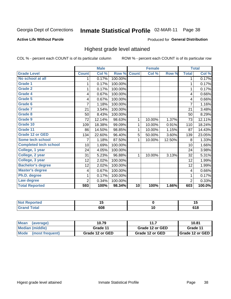# Inmate Statistical Profile 02-MAR-11 Page 38

#### **Active Life Without Parole**

#### Produced for General Distribution

### Highest grade level attained

COL % - percent each COUNT is of its particular column

|                              |              | <b>Male</b> |         |              | <b>Female</b> |        |                | <b>Total</b> |
|------------------------------|--------------|-------------|---------|--------------|---------------|--------|----------------|--------------|
| <b>Grade Level</b>           | <b>Count</b> | Col %       | Row %   | <b>Count</b> | Col %         | Row %  | <b>Total</b>   | Col %        |
| No school at all             | 1            | 0.17%       | 100.00% |              |               |        | 1              | 0.17%        |
| <b>Grade 1</b>               |              | 0.17%       | 100.00% |              |               |        | 1              | 0.17%        |
| <b>Grade 2</b>               | 1            | 0.17%       | 100.00% |              |               |        | 1              | 0.17%        |
| Grade 4                      | 4            | 0.67%       | 100.00% |              |               |        | 4              | 0.66%        |
| Grade 5                      | 4            | 0.67%       | 100.00% |              |               |        | 4              | 0.66%        |
| Grade 6                      | 7            | 1.18%       | 100.00% |              |               |        | $\overline{7}$ | 1.16%        |
| <b>Grade 7</b>               | 21           | 3.54%       | 100.00% |              |               |        | 21             | 3.48%        |
| <b>Grade 8</b>               | 50           | 8.43%       | 100.00% |              |               |        | 50             | 8.29%        |
| <b>Grade 9</b>               | 72           | 12.14%      | 98.63%  | 1            | 10.00%        | 1.37%  | 73             | 12.11%       |
| Grade 10                     | 109          | 18.38%      | 99.09%  | 1            | 10.00%        | 0.91%  | 110            | 18.24%       |
| Grade 11                     | 86           | 14.50%      | 98.85%  | 1            | 10.00%        | 1.15%  | 87             | 14.43%       |
| <b>Grade 12 or GED</b>       | 134          | 22.60%      | 96.40%  | 5            | 50.00%        | 3.60%  | 139            | 23.05%       |
| <b>Some tech school</b>      | 7            | 1.18%       | 87.50%  | 1            | 10.00%        | 12.50% | 8              | 1.33%        |
| <b>Completed tech school</b> | 10           | 1.69%       | 100.00% |              |               |        | 10             | 1.66%        |
| College, 1 year              | 24           | 4.05%       | 100.00% |              |               |        | 24             | 3.98%        |
| College, 2 year              | 31           | 5.23%       | 96.88%  | 1            | 10.00%        | 3.13%  | 32             | 5.31%        |
| College, 3 year              | 12           | 2.02%       | 100.00% |              |               |        | 12             | 1.99%        |
| <b>Bachelor's degree</b>     | 12           | 2.02%       | 100.00% |              |               |        | 12             | 1.99%        |
| <b>Master's degree</b>       | 4            | 0.67%       | 100.00% |              |               |        | 4              | 0.66%        |
| Ph.D. degree                 | 1            | 0.17%       | 100.00% |              |               |        | 1              | 0.17%        |
| Law degree                   | 2            | 0.34%       | 100.00% |              |               |        | $\overline{2}$ | 0.33%        |
| <b>Total Reported</b>        | 593          | 100%        | 98.34%  | 10           | 100%          | 1.66%  | 603            | 100.0%       |

| meo              | پ،  | - - |
|------------------|-----|-----|
| NO:              | ___ | . . |
| $f$ $f$ $f$ $g'$ | 608 |     |

| ∣Mean<br>(average)             | 10.79           | 11              | 10.81                    |
|--------------------------------|-----------------|-----------------|--------------------------|
| Median (middle)                | Grade 11        | Grade 12 or GED | Grade 11                 |
| <b>Mode</b><br>(most frequent) | Grade 12 or GED | Grade 12 or GED | <b>I</b> Grade 12 or GED |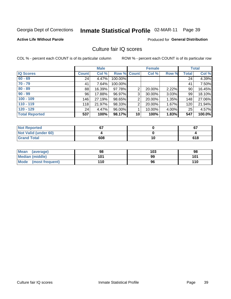# Inmate Statistical Profile 02-MAR-11 Page 39

**Active Life Without Parole** 

**Produced for General Distribution** 

### Culture fair IQ scores

COL % - percent each COUNT is of its particular column

|                       |              | <b>Male</b> |             |                 | <b>Female</b> |          |              | <b>Total</b> |
|-----------------------|--------------|-------------|-------------|-----------------|---------------|----------|--------------|--------------|
| <b>IQ Scores</b>      | <b>Count</b> | Col %       | Row % Count |                 | Col %         | Row %    | <b>Total</b> | Col %        |
| $60 - 69$             | 24           | 4.47%       | 100.00%     |                 |               |          | 24           | 4.39%        |
| $70 - 79$             | 41           | 7.64%       | 100.00%     |                 |               |          | 41           | 7.50%        |
| $80 - 89$             | 88           | 16.39%      | 97.78%      | 2               | 20.00%        | 2.22%    | 90           | 16.45%       |
| $90 - 99$             | 96           | 17.88%      | 96.97%      | 3               | 30.00%        | $3.03\%$ | 99           | 18.10%       |
| $100 - 109$           | 146          | 27.19%      | 98.65%      | $\overline{2}$  | 20.00%        | 1.35%    | 148          | 27.06%       |
| $110 - 119$           | 118          | 21.97%      | 98.33%      | $\overline{2}$  | 20.00%        | 1.67%    | 120          | 21.94%       |
| $120 - 129$           | 24           | 4.47%       | 96.00%      |                 | 10.00%        | 4.00%    | 25           | 4.57%        |
| <b>Total Reported</b> | 537          | 100%        | 98.17%      | 10 <sup>1</sup> | 100%          | 1.83%    | 547          | 100.0%       |

| <b>Not Reported</b>         | ~-  |    | 67  |
|-----------------------------|-----|----|-----|
| <b>Not Valid (under 60)</b> |     |    |     |
| <b>Grand Total</b>          | 608 | 10 | 618 |

| <b>Mean</b><br>(average)       | 98  | 103 | 98  |
|--------------------------------|-----|-----|-----|
| <b>Median (middle)</b>         | 101 | 99  | 101 |
| <b>Mode</b><br>(most frequent) | 110 | 96  | 110 |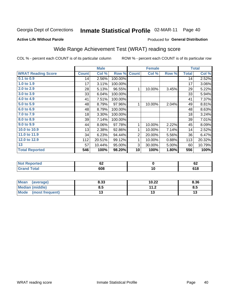#### Inmate Statistical Profile 02-MAR-11 Page 40

#### **Active Life Without Parole**

### Produced for General Distribution

## Wide Range Achievement Test (WRAT) reading score

COL % - percent each COUNT is of its particular column

|                           |              | <b>Male</b> |         |                | <b>Female</b> |       |              | <b>Total</b> |
|---------------------------|--------------|-------------|---------|----------------|---------------|-------|--------------|--------------|
| <b>WRAT Reading Score</b> | <b>Count</b> | Col %       | Row %   | <b>Count</b>   | Col %         | Row % | <b>Total</b> | Col %        |
| $0.1$ to $0.9$            | 14           | 2.56%       | 100.00% |                |               |       | 14           | 2.52%        |
| 1.0 to 1.9                | 17           | 3.11%       | 100.00% |                |               |       | 17           | 3.06%        |
| 2.0 to 2.9                | 28           | 5.13%       | 96.55%  | 1              | 10.00%        | 3.45% | 29           | 5.22%        |
| 3.0 to 3.9                | 33           | 6.04%       | 100.00% |                |               |       | 33           | 5.94%        |
| 4.0 to 4.9                | 41           | 7.51%       | 100.00% |                |               |       | 41           | 7.37%        |
| 5.0 to 5.9                | 48           | 8.79%       | 97.96%  | $\mathbf{1}$   | 10.00%        | 2.04% | 49           | 8.81%        |
| 6.0 to 6.9                | 48           | 8.79%       | 100.00% |                |               |       | 48           | 8.63%        |
| 7.0 to 7.9                | 18           | 3.30%       | 100.00% |                |               |       | 18           | 3.24%        |
| 8.0 to 8.9                | 39           | 7.14%       | 100.00% |                |               |       | 39           | 7.01%        |
| 9.0 to 9.9                | 44           | $8.06\%$    | 97.78%  | 1              | 10.00%        | 2.22% | 45           | 8.09%        |
| 10.0 to 10.9              | 13           | 2.38%       | 92.86%  | 1              | 10.00%        | 7.14% | 14           | 2.52%        |
| 11.0 to 11.9              | 34           | 6.23%       | 94.44%  | $\overline{2}$ | 20.00%        | 5.56% | 36           | 6.47%        |
| 12.0 to 12.9              | 112          | 20.51%      | 99.12%  | 1              | 10.00%        | 0.88% | 113          | 20.32%       |
| 13                        | 57           | 10.44%      | 95.00%  | 3              | 30.00%        | 5.00% | 60           | 10.79%       |
| <b>Total Reported</b>     | 546          | 100%        | 98.20%  | 10             | 100%          | 1.80% | 556          | 100%         |
|                           |              |             |         |                |               |       |              |              |

| <b>Not Reported</b>     | r.<br><u>UZ</u> |     | r.<br>ν                   |
|-------------------------|-----------------|-----|---------------------------|
| <b>Total</b><br>' Grand | 608             | י י | C <sub>4</sub> C<br>0 I O |

| Mean (average)         | 8.33 | 10.22                | 8.36 |
|------------------------|------|----------------------|------|
| <b>Median (middle)</b> | ช.ว  | 11 J<br>. <i>. .</i> | ၓ.๖  |
| Mode (most frequent)   | U    |                      | IJ   |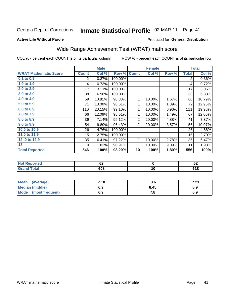#### Inmate Statistical Profile 02-MAR-11 Page 41

Produced for General Distribution

### **Active Life Without Parole**

### Wide Range Achievement Test (WRAT) math score

COL % - percent each COUNT is of its particular column

|                              |              | <b>Male</b> |         |                | <b>Female</b>   |       |              | <b>Total</b> |
|------------------------------|--------------|-------------|---------|----------------|-----------------|-------|--------------|--------------|
| <b>WRAT Mathematic Score</b> | <b>Count</b> | Col %       | Row %   | <b>Count</b>   | Col %           | Row % | <b>Total</b> | Col %        |
| $0.1$ to $0.9$               | 2            | 0.37%       | 100.00% |                |                 |       | 2            | 0.36%        |
| 1.0 to 1.9                   | 4            | 0.73%       | 100.00% |                |                 |       | 4            | 0.72%        |
| 2.0 to 2.9                   | 17           | 3.11%       | 100.00% |                |                 |       | 17           | 3.06%        |
| 3.0 to 3.9                   | 38           | 6.96%       | 100.00% |                |                 |       | 38           | 6.83%        |
| 4.0 to 4.9                   | 59           | 10.81%      | 98.33%  | 1              | 10.00%          | 1.67% | 60           | 10.79%       |
| 5.0 to 5.9                   | 71           | 13.00%      | 98.61%  | 1              | 10.00%          | 1.39% | 72           | 12.95%       |
| 6.0 to 6.9                   | 110          | 20.15%      | 99.10%  | 1              | 10.00%          | 0.90% | 111          | 19.96%       |
| 7.0 to 7.9                   | 66           | 12.09%      | 98.51%  | 1              | 10.00%          | 1.49% | 67           | 12.05%       |
| 8.0 to 8.9                   | 39           | 7.14%       | 95.12%  | $\overline{2}$ | 20.00%          | 4.88% | 41           | 7.37%        |
| 9.0 to 9.9                   | 54           | 9.89%       | 96.43%  | $\overline{2}$ | 20.00%          | 3.57% | 56           | 10.07%       |
| 10.0 to 10.9                 | 26           | 4.76%       | 100.00% |                |                 |       | 26           | 4.68%        |
| 11.0 to 11.9                 | 15           | 2.75%       | 100.00% |                |                 |       | 15           | 2.70%        |
| 12.0 to 12.9                 | 35           | 6.41%       | 97.22%  | 1              | 10.00%          | 2.78% | 36           | 6.47%        |
| 13                           | 10           | 1.83%       | 90.91%  | 1              | 10.00%          | 9.09% | 11           | 1.98%        |
| <b>Total Reported</b>        | 546          | 100%        | 98.20%  | 10             | 100%            | 1.80% | 556          | 100%         |
|                              |              |             |         |                |                 |       |              |              |
| <b>Not Reported</b>          |              | 62          |         |                | $\mathbf 0$     |       |              | 62           |
| <b>Grand Total</b>           |              | 608         |         |                | $\overline{10}$ |       |              | 618          |

| <b>Mean</b><br>(average)       | 7.18 | o.o  | ג הי<br>. Z I |
|--------------------------------|------|------|---------------|
| <b>Median (middle)</b>         | 6.9  | 8.45 | 6.9           |
| <b>Mode</b><br>(most frequent) | 6.9  | 7. a | 6.9           |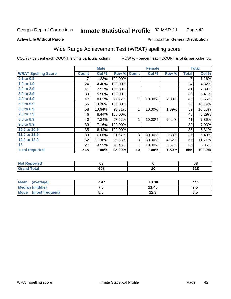#### Inmate Statistical Profile 02-MAR-11 Page 42

#### **Active Life Without Parole**

#### Produced for General Distribution

## Wide Range Achievement Test (WRAT) spelling score

COL % - percent each COUNT is of its particular column

|                            |                | <b>Male</b> |         |              | <b>Female</b>   |       |              | <b>Total</b> |
|----------------------------|----------------|-------------|---------|--------------|-----------------|-------|--------------|--------------|
| <b>WRAT Spelling Score</b> | <b>Count</b>   | Col %       | Row %   | <b>Count</b> | Col %           | Row % | <b>Total</b> | Col %        |
| $0.1$ to $0.9$             | $\overline{7}$ | 1.28%       | 100.00% |              |                 |       | 7            | 1.26%        |
| 1.0 to 1.9                 | 24             | 4.40%       | 100.00% |              |                 |       | 24           | 4.32%        |
| 2.0 to 2.9                 | 41             | 7.52%       | 100.00% |              |                 |       | 41           | 7.39%        |
| 3.0 to 3.9                 | 30             | 5.50%       | 100.00% |              |                 |       | 30           | 5.41%        |
| 4.0 to 4.9                 | 47             | 8.62%       | 97.92%  | 1            | 10.00%          | 2.08% | 48           | 8.65%        |
| 5.0 to 5.9                 | 56             | 10.28%      | 100.00% |              |                 |       | 56           | 10.09%       |
| 6.0 to 6.9                 | 58             | 10.64%      | 98.31%  | 1            | 10.00%          | 1.69% | 59           | 10.63%       |
| 7.0 to 7.9                 | 46             | 8.44%       | 100.00% |              |                 |       | 46           | 8.29%        |
| 8.0 to 8.9                 | 40             | 7.34%       | 97.56%  | 1            | 10.00%          | 2.44% | 41           | 7.39%        |
| 9.0 to 9.9                 | 39             | 7.16%       | 100.00% |              |                 |       | 39           | 7.03%        |
| 10.0 to 10.9               | 35             | 6.42%       | 100.00% |              |                 |       | 35           | 6.31%        |
| 11.0 to 11.9               | 33             | 6.06%       | 91.67%  | 3            | 30.00%          | 8.33% | 36           | 6.49%        |
| 12.0 to 12.9               | 62             | 11.38%      | 95.38%  | 3            | 30.00%          | 4.62% | 65           | 11.71%       |
| 13                         | 27             | 4.95%       | 96.43%  | 1            | 10.00%          | 3.57% | 28           | 5.05%        |
| <b>Total Reported</b>      | 545            | 100%        | 98.20%  | 10           | 100%            | 1.80% | 555          | 100.0%       |
|                            |                |             |         |              |                 |       |              |              |
| <b>Not Reported</b>        |                | 63          |         |              | $\bf{0}$        |       |              | 63           |
| <b>Grand Total</b>         |                | 608         |         |              | $\overline{10}$ |       |              | 618          |

| Mean<br>(average)      | 7.47 | 10.38 | 7.52 |
|------------------------|------|-------|------|
| <b>Median (middle)</b> | ں.   | 11.45 | ن. ا |
| Mode (most frequent)   | 8.5  | 12.3  | 8.5  |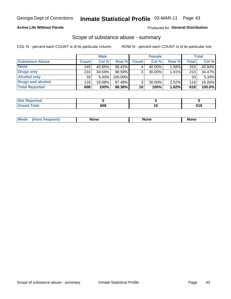#### **Active Life Without Parole**

### **Produced for General Distribution**

### Scope of substance abuse - summary

COL % - percent each COUNT is of its particular column

|                        |                 | <b>Male</b> |            |              | <b>Female</b> |       |                    | <b>Total</b> |
|------------------------|-----------------|-------------|------------|--------------|---------------|-------|--------------------|--------------|
| <b>Substance Abuse</b> | Count!          | Col %       | Row %      | <b>Count</b> | Col %         | Row % | Total <sub>1</sub> | Col %        |
| <b>None</b>            | 249             | 40.95%      | 98.42%     |              | 40.00%        | 1.58% | 253                | 40.94%       |
| <b>Drugs only</b>      | 210             | 34.54%      | 98.59%     |              | 30.00%        | 1.41% | 213                | 34.47%       |
| <b>Alcohol only</b>    | 33 <sub>1</sub> | 5.43%       | $100.00\%$ |              |               |       | 33                 | 5.34%        |
| Drugs and alcohol      | 116             | 19.08%      | $97.48\%$  |              | 30.00%        | 2.52% | 119                | 19.26%       |
| <b>Total Reported</b>  | 608             | 100%        | 98.38%     | 10           | 100%          | 1.62% | 618                | 100.0%       |

| <b>Not</b><br>Reported       |     |                |
|------------------------------|-----|----------------|
| <b>Total</b><br><b>Grand</b> | cna | C 4 0<br>ס ו כ |

| <b>Mod</b><br>'one<br>None<br><b>None</b> |
|-------------------------------------------|
|-------------------------------------------|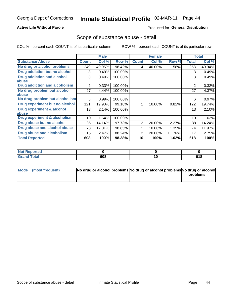### **Active Life Without Parole**

#### Produced for General Distribution

### Scope of substance abuse - detail

COL % - percent each COUNT is of its particular column

|                                         |                | <b>Male</b> |         |              | <b>Female</b> |        |                | <b>Total</b> |
|-----------------------------------------|----------------|-------------|---------|--------------|---------------|--------|----------------|--------------|
| <b>Substance Abuse</b>                  | <b>Count</b>   | Col %       | Row %   | <b>Count</b> | Col %         | Row %  | <b>Total</b>   | Col %        |
| No drug or alcohol problems             | 249            | 40.95%      | 98.42%  | 4            | 40.00%        | 1.58%  | 253            | 40.94%       |
| Drug addiction but no alcohol           | 3              | 0.49%       | 100.00% |              |               |        | 3              | 0.49%        |
| <b>Drug addiction and alcohol</b>       | 3              | 0.49%       | 100.00% |              |               |        | 3              | 0.49%        |
| abuse                                   |                |             |         |              |               |        |                |              |
| <b>Drug addiction and alcoholism</b>    | $\overline{2}$ | 0.33%       | 100.00% |              |               |        | $\overline{2}$ | 0.32%        |
| No drug problem but alcohol             | 27             | 4.44%       | 100.00% |              |               |        | 27             | 4.37%        |
| abuse                                   |                |             |         |              |               |        |                |              |
| No drug problem but alcoholism          | 6              | 0.99%       | 100.00% |              |               |        | 6              | 0.97%        |
| Drug experiment but no alcohol          | 121            | 19.90%      | 99.18%  |              | 10.00%        | 0.82%  | 122            | 19.74%       |
| <b>Drug experiment &amp; alcohol</b>    | 13             | 2.14%       | 100.00% |              |               |        | 13             | 2.10%        |
| abuse                                   |                |             |         |              |               |        |                |              |
| <b>Drug experiment &amp; alcoholism</b> | 10             | 1.64%       | 100.00% |              |               |        | 10             | 1.62%        |
| Drug abuse but no alcohol               | 86             | 14.14%      | 97.73%  | 2            | 20.00%        | 2.27%  | 88             | 14.24%       |
| Drug abuse and alcohol abuse            | 73             | 12.01%      | 98.65%  |              | 10.00%        | 1.35%  | 74             | 11.97%       |
| <b>Drug abuse and alcoholism</b>        | 15             | 2.47%       | 88.24%  | 2            | 20.00%        | 11.76% | 17             | 2.75%        |
| <b>Total Reported</b>                   | 608            | 100%        | 98.38%  | 10           | 100%          | 1.62%  | 618            | 100%         |

| : Reported<br><b>NOT</b> |     |     |                           |
|--------------------------|-----|-----|---------------------------|
| <b>otal</b>              | 608 | . . | C <sub>4</sub> O<br>9 I O |

| Mode (most frequent) | No drug or alcohol problems No drug or alcohol problems No drug or alcohol |          |
|----------------------|----------------------------------------------------------------------------|----------|
|                      |                                                                            | problems |
|                      |                                                                            |          |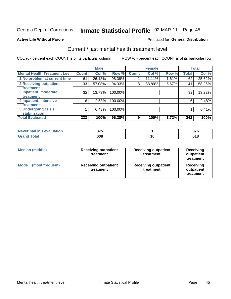#### Inmate Statistical Profile 02-MAR-11 Page 45

#### **Active Life Without Parole**

#### Produced for General Distribution

## Current / last mental health treatment level

COL % - percent each COUNT is of its particular column

|                                    |              | <b>Male</b> |         |              | <b>Female</b> |       |              | <b>Total</b> |
|------------------------------------|--------------|-------------|---------|--------------|---------------|-------|--------------|--------------|
| <b>Mental Health Treatment Lev</b> | <b>Count</b> | Col %       | Row %   | <b>Count</b> | Col %         | Row % | <b>Total</b> | Col %        |
| 1 No problem at current time       | 61           | 26.18%      | 98.39%  |              | 11.11%        | 1.61% | 62           | 25.62%       |
| 2 Receiving outpatient             | 133          | 57.08%      | 94.33%  | 8            | 88.89%        | 5.67% | 141          | 58.26%       |
| <b>Treatment</b>                   |              |             |         |              |               |       |              |              |
| 3 Inpatient, moderate              | 32           | 13.73%      | 100.00% |              |               |       | 32           | 13.22%       |
| Treatment                          |              |             |         |              |               |       |              |              |
| 4 Inpatient, intensive             | 6            | 2.58%       | 100.00% |              |               |       | 6            | 2.48%        |
| Treatment                          |              |             |         |              |               |       |              |              |
| <b>5 Undergoing crisis</b>         |              | 0.43%       | 100.00% |              |               |       |              | 0.41%        |
| <b>stabilization</b>               |              |             |         |              |               |       |              |              |
| <b>Total Evaluated</b>             | 233          | 100%        | 96.28%  | 9            | 100%          | 3.72% | 242          | 100%         |

| evaluation<br>-MI<br>Never I<br>nan | <b>275</b><br>ט וע |    | $- -$<br>יש |
|-------------------------------------|--------------------|----|-------------|
| $\sim$                              | 608                | 10 |             |

| <b>Median (middle)</b>         | <b>Receiving outpatient</b><br>treatment | <b>Receiving outpatient</b><br>treatment | <b>Receiving</b><br>outpatient<br>treatment |  |
|--------------------------------|------------------------------------------|------------------------------------------|---------------------------------------------|--|
| <b>Mode</b><br>(most frequent) | <b>Receiving outpatient</b><br>treatment | <b>Receiving outpatient</b><br>treatment | <b>Receiving</b><br>outpatient<br>treatment |  |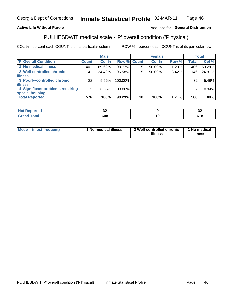#### Inmate Statistical Profile 02-MAR-11 Page 46

### **Active Life Without Parole**

### Produced for General Distribution

## PULHESDWIT medical scale - 'P' overall condition ('P'hysical)

COL % - percent each COUNT is of its particular column

|                                  |                | <b>Male</b> |                    |    | <b>Female</b> |          |              | <b>Total</b> |
|----------------------------------|----------------|-------------|--------------------|----|---------------|----------|--------------|--------------|
| 'P' Overall Condition            | Count l        | Col %       | <b>Row % Count</b> |    | Col %         | Row %    | <b>Total</b> | Col %        |
| 1 No medical illness             | 401            | 69.62%      | 98.77%             | 5  | 50.00%        | 1.23%    | 406          | 69.28%       |
| 2 Well-controlled chronic        | 141            | 24.48%      | 96.58%             | 5  | 50.00%        | 3.42%    | 146          | 24.91%       |
| <b>illness</b>                   |                |             |                    |    |               |          |              |              |
| 3 Poorly-controlled chronic      | 32             | 5.56%       | 100.00%            |    |               |          | 32           | 5.46%        |
| <b>illness</b>                   |                |             |                    |    |               |          |              |              |
| 4 Significant problems requiring | 2 <sub>1</sub> | 0.35%       | 100.00%            |    |               |          | 2            | 0.34%        |
| special housing                  |                |             |                    |    |               |          |              |              |
| <b>Total Reported</b>            | 576            | 100%        | 98.29%             | 10 | 100%          | $1.71\%$ | 586          | 100%         |

| τeα | $\ddot{\phantom{0}}$<br>◡<br>$\sim$ | $\ddot{\phantom{0}}$<br>◡▵<br>$\sim$ |
|-----|-------------------------------------|--------------------------------------|
|     | 608                                 | 618                                  |

| <b>Mode</b> | (most frequent) | 1 No medical illness | 2 Well-controlled chronic<br>illness | 1 No medical<br>illness |
|-------------|-----------------|----------------------|--------------------------------------|-------------------------|
|-------------|-----------------|----------------------|--------------------------------------|-------------------------|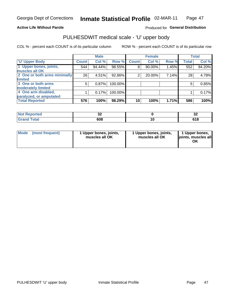#### **Active Life Without Parole**

### Produced for General Distribution

# PULHESDWIT medical scale - 'U' upper body

COL % - percent each COUNT is of its particular column

|                              |              | <b>Male</b> |         |              | <b>Female</b> |       |              | <b>Total</b> |
|------------------------------|--------------|-------------|---------|--------------|---------------|-------|--------------|--------------|
| <b>U' Upper Body</b>         | <b>Count</b> | Col %       | Row %   | <b>Count</b> | Col %         | Row % | <b>Total</b> | Col %        |
| 1 Upper bones, joints,       | 544          | 94.44%      | 98.55%  | 8            | 80.00%        | 1.45% | 552          | 94.20%       |
| muscles all OK               |              |             |         |              |               |       |              |              |
| 2 One or both arms minimally | 26           | 4.51%       | 92.86%  | 2            | 20.00%        | 7.14% | 28           | 4.78%        |
| limited                      |              |             |         |              |               |       |              |              |
| 3 One or both arms           | 5            | 0.87%       | 100.00% |              |               |       | 5            | 0.85%        |
| moderately limited           |              |             |         |              |               |       |              |              |
| 4 One arm disabled,          |              | 0.17%       | 100.00% |              |               |       |              | 0.17%        |
| paralyzed, or amputated      |              |             |         |              |               |       |              |              |
| <b>Total Reported</b>        | 576          | 100%        | 98.29%  | 10           | 100%          | 1.71% | 586          | 100%         |

| <b>Not Reported</b>              | JŁ  |   | $\ddot{\phantom{0}}$<br>◡▵ |
|----------------------------------|-----|---|----------------------------|
| <b>Total</b><br>Grar<br>ا الله ا | 608 | u | C4 O<br>0 I O              |

| Mode | (most frequent) | 1 Upper bones, joints,<br>muscles all OK | 1 Upper bones, joints,<br>muscles all OK | 1 Upper bones,<br>ljoints, muscles all<br>OK |
|------|-----------------|------------------------------------------|------------------------------------------|----------------------------------------------|
|------|-----------------|------------------------------------------|------------------------------------------|----------------------------------------------|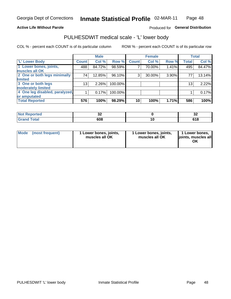#### **Active Life Without Parole**

### Produced for General Distribution

### PULHESDWIT medical scale - 'L' lower body

COL % - percent each COUNT is of its particular column

|                                |                 | <b>Male</b> |         |              | <b>Female</b> |       |                 | <b>Total</b> |
|--------------------------------|-----------------|-------------|---------|--------------|---------------|-------|-----------------|--------------|
| 'L' Lower Body                 | <b>Count</b>    | Col %       | Row %   | <b>Count</b> | Col %         | Row % | <b>Total</b>    | Col %        |
| 1 Lower bones, joints,         | 488             | 84.72%      | 98.59%  |              | 70.00%        | 1.41% | 495             | 84.47%       |
| muscles all OK                 |                 |             |         |              |               |       |                 |              |
| 2 One or both legs minimally   | 74              | 12.85%      | 96.10%  | 3            | 30.00%        | 3.90% | 77              | 13.14%       |
| limited                        |                 |             |         |              |               |       |                 |              |
| 3 One or both legs             | 13 <sub>1</sub> | 2.26%       | 100.00% |              |               |       | 13 <sub>1</sub> | 2.22%        |
| moderately limited             |                 |             |         |              |               |       |                 |              |
| 4 One leg disabled, paralyzed, |                 | 0.17%       | 100.00% |              |               |       |                 | 0.17%        |
| or amputated                   |                 |             |         |              |               |       |                 |              |
| <b>Total Reported</b>          | 576             | 100%        | 98.29%  | 10           | 100%          | 1.71% | 586             | 100%         |

| <b>Not Repo</b><br>orted<br>$\sim$ . The set of $\sim$ | ◡▵  | $\ddot{\phantom{0}}$<br>◡▵ |
|--------------------------------------------------------|-----|----------------------------|
| <b>Total</b><br>------                                 | 608 | u lu                       |

|  | Mode (most frequent) | 1 Lower bones, joints,<br>muscles all OK | 1 Lower bones, joints,<br>muscles all OK | 1 Lower bones,<br>ljoints, muscles all<br>ΟK |
|--|----------------------|------------------------------------------|------------------------------------------|----------------------------------------------|
|--|----------------------|------------------------------------------|------------------------------------------|----------------------------------------------|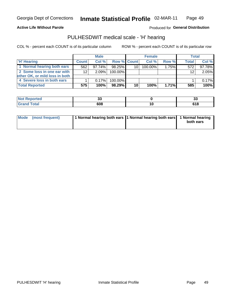#### **Active Life Without Parole**

Produced for General Distribution

### PULHESDWIT medical scale - 'H' hearing

COL % - percent each COUNT is of its particular column

|                                |                 | <b>Male</b> |                    |    | <b>Female</b> |       | <b>Total</b> |        |
|--------------------------------|-----------------|-------------|--------------------|----|---------------|-------|--------------|--------|
| <b>H' Hearing</b>              | <b>Count</b>    | Col %       | <b>Row % Count</b> |    | Col%          | Row % | <b>Total</b> | Col %  |
| 1 Normal hearing both ears     | 562             | 97.74%      | 98.25%             | 10 | 100.00%       | 1.75% | 572          | 97.78% |
| 2 Some loss in one ear with    | 12 <sup>2</sup> | 2.09%       | 100.00%            |    |               |       | 12           | 2.05%  |
| other OK, or mild loss in both |                 |             |                    |    |               |       |              |        |
| 4 Severe loss in both ears     |                 | 0.17%       | 100.00%            |    |               |       |              | 0.17%  |
| <b>Total Reported</b>          | 575             | 100%        | 98.29%             | 10 | 100%          | 1.71% | 585          | 100%   |

| тео    | ^^<br>v.<br>$ -$ | ັ⊽        |
|--------|------------------|-----------|
| $\sim$ | 608              | <br>0 I O |

| Mode (most frequent) | 1 Normal hearing both ears 1 Normal hearing both ears 1 Normal hearing |           |
|----------------------|------------------------------------------------------------------------|-----------|
|                      |                                                                        | both ears |
|                      |                                                                        |           |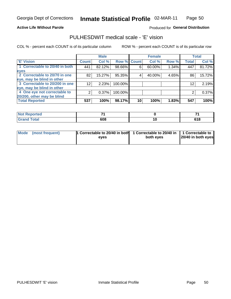#### **Active Life Without Parole**

#### Produced for General Distribution

### PULHESDWIT medical scale - 'E' vision

COL % - percent each COUNT is of its particular column

|                                |                 | <b>Male</b> |         |             | <b>Female</b> |       |              | <b>Total</b> |
|--------------------------------|-----------------|-------------|---------|-------------|---------------|-------|--------------|--------------|
| <b>E' Vision</b>               | <b>Count</b>    | Col %       |         | Row % Count | Col %         | Row % | <b>Total</b> | Col %        |
| 1 Correctable to 20/40 in both | 441             | 82.12%      | 98.66%  | 6           | 60.00%        | 1.34% | 447          | 81.72%       |
| eyes                           |                 |             |         |             |               |       |              |              |
| 2 Correctable to 20/70 in one  | 82              | 15.27%      | 95.35%  |             | 40.00%        | 4.65% | 86           | 15.72%       |
| eye, may be blind in other     |                 |             |         |             |               |       |              |              |
| 3 Correctable to 20/200 in one | 12 <sup>2</sup> | 2.23%       | 100.00% |             |               |       | 12           | 2.19%        |
| eye, may be blind in other     |                 |             |         |             |               |       |              |              |
| 4 One eye not correctable to   |                 | 0.37%       | 100.00% |             |               |       | 2            | 0.37%        |
| 20/200, other may be blind     |                 |             |         |             |               |       |              |              |
| <b>Total Reported</b>          | 537             | 100%        | 98.17%  | 10          | 100%          | 1.83% | 547          | 100%         |

| <b>Not Reported</b>          | -   |               |
|------------------------------|-----|---------------|
| <b>Total</b><br><b>Grand</b> | 608 | C4 O<br>0 I O |

| Mode (most frequent) | <sup>1</sup> Correctable to 20/40 in both 1 Correctable to 20/40 in 1 Correctable to<br>eves | both eyes | 20/40 in both eyes |
|----------------------|----------------------------------------------------------------------------------------------|-----------|--------------------|
|                      |                                                                                              |           |                    |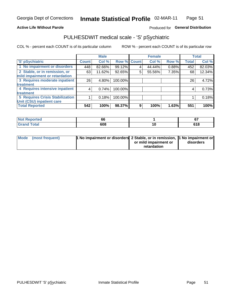#### **Active Life Without Parole**

### Produced for General Distribution

## PULHESDWIT medical scale - 'S' pSychiatric

COL % - percent each COUNT is of its particular column

|                                        |              | <b>Male</b> |         |             | <b>Female</b> |       |              | <b>Total</b> |
|----------------------------------------|--------------|-------------|---------|-------------|---------------|-------|--------------|--------------|
| 'S' pSychiatric                        | <b>Count</b> | Col %       |         | Row % Count | Col %         | Row % | <b>Total</b> | Col %        |
| 1 No impairment or disorders           | 448          | 82.66%      | 99.12%  |             | 44.44%        | 0.88% | 452          | 82.03%       |
| 2 Stable, or in remission, or          | 63           | 11.62%      | 92.65%  | 5           | 55.56%        | 7.35% | 68           | 12.34%       |
| mild impairment or retardation         |              |             |         |             |               |       |              |              |
| 3 Requires moderate inpatient          | 26           | 4.80%       | 100.00% |             |               |       | 26           | 4.72%        |
| treatment                              |              |             |         |             |               |       |              |              |
| 4 Requires intensive inpatient         | 4            | 0.74%       | 100.00% |             |               |       | 4            | 0.73%        |
| <b>treatment</b>                       |              |             |         |             |               |       |              |              |
| <b>5 Requires Crisis Stabilization</b> |              | 0.18%       | 100.00% |             |               |       |              | 0.18%        |
| Unit (CSU) inpatient care              |              |             |         |             |               |       |              |              |
| <b>Total Reported</b>                  | 542          | 100%        | 98.37%  | 9           | 100%          | 1.63% | 551          | 100%         |

| <b>Not Reported</b>  | .or | $\sim$      |
|----------------------|-----|-------------|
| <b>Total</b><br>Gran | 608 | 04 C<br>JIO |

| Mode (most frequent) | <b>1 No impairment or disorders 2 Stable, or in remission, 1 No impairment or</b> |                       |           |
|----------------------|-----------------------------------------------------------------------------------|-----------------------|-----------|
|                      |                                                                                   | or mild impairment or | disorders |
|                      |                                                                                   | retardation           |           |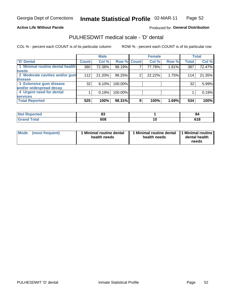### **Active Life Without Parole**

### Produced for General Distribution

### PULHESDWIT medical scale - 'D' dental

COL % - percent each COUNT is of its particular column

|                                 |              | <b>Male</b> |         |             | <b>Female</b> |       |              | <b>Total</b> |
|---------------------------------|--------------|-------------|---------|-------------|---------------|-------|--------------|--------------|
| <b>D'</b> Dental                | <b>Count</b> | Col %       |         | Row % Count | Col %         | Row % | <b>Total</b> | Col %        |
| 1 Minimal routine dental health | 380          | 72.38%      | 98.19%  |             | 77.78%        | 1.81% | 387          | 72.47%       |
| <b>needs</b>                    |              |             |         |             |               |       |              |              |
| 2 Moderate cavities and/or gum  | 112          | 21.33%      | 98.25%  | 2           | 22.22%        | 1.75% | 114          | 21.35%       |
| disease                         |              |             |         |             |               |       |              |              |
| 3 Extensive gum disease         | 32           | 6.10%       | 100.00% |             |               |       | 32           | 5.99%        |
| and/or widespread decay         |              |             |         |             |               |       |              |              |
| 4 Urgent need for dental        |              | 0.19%       | 100.00% |             |               |       |              | 0.19%        |
| <b>services</b>                 |              |             |         |             |               |       |              |              |
| <b>Total Reported</b>           | 525          | 100%        | 98.31%  | 9           | 100%          | 1.69% | 534          | 100%         |

| <b>Not Reported</b> | n.<br>o. |     | -84           |
|---------------------|----------|-----|---------------|
| <b>Total</b>        | 608      | 1 V | 64 O<br>0 I O |

| Mode | (most frequent) | <b>Minimal routine dental</b><br>health needs | 1 Minimal routine dental 1 Minimal routine<br>health needs | dental health<br>needs |
|------|-----------------|-----------------------------------------------|------------------------------------------------------------|------------------------|
|------|-----------------|-----------------------------------------------|------------------------------------------------------------|------------------------|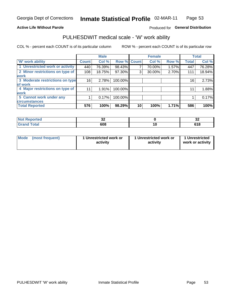#### **Active Life Without Parole**

### Produced for General Distribution

### PULHESDWIT medical scale - 'W' work ability

COL % - percent each COUNT is of its particular column

|                                 |              | <b>Male</b> |         |             | <b>Female</b> |       |              | <b>Total</b> |
|---------------------------------|--------------|-------------|---------|-------------|---------------|-------|--------------|--------------|
| <b>W' work ability</b>          | <b>Count</b> | Col %       |         | Row % Count | Col %         | Row % | <b>Total</b> | Col %        |
| 1 Unrestricted work or activity | 440          | 76.39%      | 98.43%  |             | 70.00%        | 1.57% | 447          | 76.28%       |
| 2 Minor restrictions on type of | 108          | 18.75%      | 97.30%  | 3           | 30.00%        | 2.70% | 111          | 18.94%       |
| <b>work</b>                     |              |             |         |             |               |       |              |              |
| 3 Moderate restrictions on type | 16           | 2.78%       | 100.00% |             |               |       | 16           | 2.73%        |
| lof work                        |              |             |         |             |               |       |              |              |
| 4 Major restrictions on type of | 11           | 1.91%       | 100.00% |             |               |       | 11           | 1.88%        |
| <b>work</b>                     |              |             |         |             |               |       |              |              |
| 5 Cannot work under any         |              | 0.17%       | 100.00% |             |               |       |              | 0.17%        |
| <b>circumstances</b>            |              |             |         |             |               |       |              |              |
| <b>Total Reported</b>           | 576          | 100%        | 98.29%  | 10          | 100%          | 1.71% | 586          | 100%         |

| <b>Not Reported</b>  | $\ddot{\phantom{0}}$<br>◡▵ |    | ^'<br>◡▵     |
|----------------------|----------------------------|----|--------------|
| <b>Total</b><br>Cron | 608                        | 10 | C40<br>0 I O |

| Mode            | 1 Unrestricted work or | 1 Unrestricted work or | 1 Unrestricted   |
|-----------------|------------------------|------------------------|------------------|
| (most frequent) | activity               | activity               | work or activity |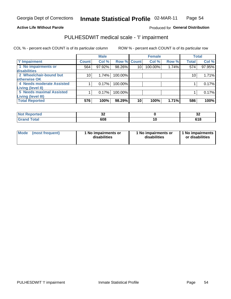#### **Active Life Without Parole**

### Produced for General Distribution

## PULHESDWIT medical scale - 'I' impairment

COL % - percent each COUNT is of its particular column ROW % - percent each COUNT is of its particular row

|                           |                 | <b>Male</b> |             |                 | <b>Female</b> |       | <b>Total</b> |        |
|---------------------------|-----------------|-------------|-------------|-----------------|---------------|-------|--------------|--------|
| <b>T' Impairment</b>      | <b>Count</b>    | Col %       | Row % Count |                 | Col %         | Row % | <b>Total</b> | Col %  |
| 1 No impairments or       | 564             | 97.92%      | 98.26%      | 10 <sup>1</sup> | 100.00%       | 1.74% | 574          | 97.95% |
| disabilities              |                 |             |             |                 |               |       |              |        |
| 2 Wheelchair-bound but    | 10 <sub>1</sub> | 1.74%       | 100.00%     |                 |               |       | 10           | 1.71%  |
| <b>lotherwise OK</b>      |                 |             |             |                 |               |       |              |        |
| 4 Needs moderate Assisted |                 | 0.17%       | 100.00%     |                 |               |       |              | 0.17%  |
| Living (level II)         |                 |             |             |                 |               |       |              |        |
| 5 Needs maximal Assisted  |                 | 0.17%       | 100.00%     |                 |               |       |              | 0.17%  |
| <b>Living (level III)</b> |                 |             |             |                 |               |       |              |        |
| <b>Total Reported</b>     | 576             | 100%        | 98.29%      | 10              | 100%          | 1.71% | 586          | 100%   |

| oorted | ^^  | n.            |
|--------|-----|---------------|
| NO     | ◡▵  | JД            |
| `otal  | 608 | C4 C<br>J I O |

| Mode | (most frequent) | 1 No impairments or<br>disabilities | 1 No impairments or<br>disabilities | 1 No impairments  <br>or disabilities |
|------|-----------------|-------------------------------------|-------------------------------------|---------------------------------------|
|------|-----------------|-------------------------------------|-------------------------------------|---------------------------------------|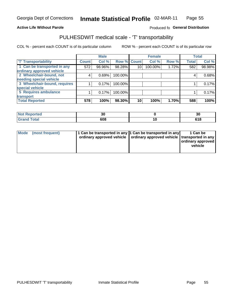#### **Active Life Without Parole**

#### Produced fo General Distribution

## PULHESDWIT medical scale - 'T' transportability

COL % - percent each COUNT is of its particular column

|                              |              | <b>Male</b> |             |    | <b>Female</b> |       |              | <b>Total</b> |
|------------------------------|--------------|-------------|-------------|----|---------------|-------|--------------|--------------|
| <b>T' Transportability</b>   | <b>Count</b> | Col %       | Row % Count |    | Col %         | Row % | <b>Total</b> | Col %        |
| 1 Can be transported in any  | 572          | 98.96%      | 98.28%      | 10 | 100.00%       | 1.72% | 582          | 98.98%       |
| ordinary approved vehicle    |              |             |             |    |               |       |              |              |
| 2 Wheelchair-bound, not      | 4            | 0.69%       | 100.00%     |    |               |       |              | 0.68%        |
| needing special vehicle      |              |             |             |    |               |       |              |              |
| 3 Wheelchair-bound, requires |              | 0.17%       | 100.00%     |    |               |       |              | 0.17%        |
| special vehicle              |              |             |             |    |               |       |              |              |
| <b>5 Requires ambulance</b>  |              | 0.17%       | 100.00%     |    |               |       |              | 0.17%        |
| transport                    |              |             |             |    |               |       |              |              |
| <b>Total Reported</b>        | 578          | 100%        | 98.30%      | 10 | 100%          | 1.70% | 588          | 100%         |

| orted | n,<br>Ju | 30  |
|-------|----------|-----|
|       | 608      | JIO |

| <b>Mode</b> | (most frequent) | 1 Can be transported in any 1 Can be transported in any | ordinary approved vehicle   ordinary approved vehicle   transported in any | 1 Can be<br>  ordinary approved  <br>vehicle |
|-------------|-----------------|---------------------------------------------------------|----------------------------------------------------------------------------|----------------------------------------------|
|-------------|-----------------|---------------------------------------------------------|----------------------------------------------------------------------------|----------------------------------------------|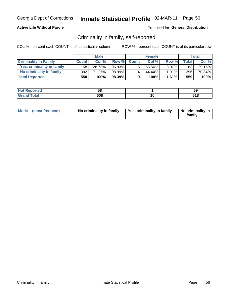#### **Active Life Without Parole**

### Produced for General Distribution

### Criminality in family, self-reported

COL % - percent each COUNT is of its particular column

|                              |              | <b>Male</b> |        |              | <b>Female</b> |          |       | Total  |
|------------------------------|--------------|-------------|--------|--------------|---------------|----------|-------|--------|
| <b>Criminality In Family</b> | <b>Count</b> | Col%        | Row %  | <b>Count</b> | Col%          | Row %    | Total | Col %  |
| Yes, criminality in family   | 158          | 28.73%      | 96.93% | 5.           | 55.56%        | $3.07\%$ | 163   | 29.16% |
| No criminality in family     | 392          | 71.27%      | 98.99% | 4            | 44.44%        | 1.01%    | 396   | 70.84% |
| <b>Total Reported</b>        | 550          | 100%        | 98.39% | 9            | 100%          | $1.61\%$ | 559   | 100%   |

| Reported<br><b>NOT</b> | --<br>- 1<br>ັບບ | 59          |
|------------------------|------------------|-------------|
| <b>otal</b>            | 608              | 64 O<br>סונ |

|  | Mode (most frequent) | No criminality in family | Yes, criminality in family | No criminality in<br>family |
|--|----------------------|--------------------------|----------------------------|-----------------------------|
|--|----------------------|--------------------------|----------------------------|-----------------------------|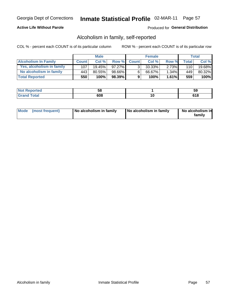### **Active Life Without Parole**

### Produced for General Distribution

### Alcoholism in family, self-reported

COL % - percent each COUNT is of its particular column

|                             |              | <b>Male</b> |           |              | <b>Female</b> |          |       | Total  |
|-----------------------------|--------------|-------------|-----------|--------------|---------------|----------|-------|--------|
| <b>Alcoholism In Family</b> | <b>Count</b> | Col%        | Row %     | <b>Count</b> | Col %         | Row %    | Total | Col %  |
| Yes, alcoholism in family   | 107          | $19.45\%$   | $97.27\%$ | 3            | $33.33\%$     | $2.73\%$ | 110   | 19.68% |
| No alcoholism in family     | 443          | $80.55\%$   | 98.66%    | 6            | 66.67%        | $1.34\%$ | 449   | 80.32% |
| <b>Total Reported</b>       | 550          | 100%        | 98.39%    | 9            | 100%          | $1.61\%$ | 559   | 100%   |

| المنتقب بالتعبين<br>≺eported<br>NOT | $-$<br>၁၀ |    | ວະ                 |
|-------------------------------------|-----------|----|--------------------|
| <b>otal</b>                         | 608       | .u | <b>CAC</b><br>u lu |

|  | Mode (most frequent) | No alcoholism in family | No alcoholism in family | No alcoholism in<br>family |
|--|----------------------|-------------------------|-------------------------|----------------------------|
|--|----------------------|-------------------------|-------------------------|----------------------------|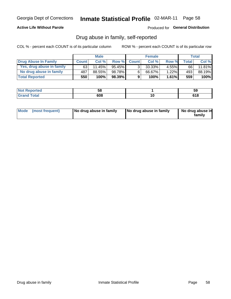#### **Active Life Without Parole**

### Produced for General Distribution

### Drug abuse in family, self-reported

COL % - percent each COUNT is of its particular column

|                           |              | <b>Male</b> |           |                | <b>Female</b> |          |              | Total  |
|---------------------------|--------------|-------------|-----------|----------------|---------------|----------|--------------|--------|
| Drug Abuse In Family      | <b>Count</b> | Col %       | Row %     | <b>Count</b>   | Col %         | Row %    | <b>Total</b> | Col %  |
| Yes, drug abuse in family | 63           | 11.45%      | $95.45\%$ | 3 <sub>1</sub> | $33.33\%$     | $4.55\%$ | 66           | 11.81% |
| No drug abuse in family   | 487          | 88.55%      | 98.78%    | 6              | 66.67%        | 1.22%    | 493          | 88.19% |
| <b>Total Reported</b>     | 550          | 100%        | 98.39%    | 9              | 100%          | 1.61%    | 559          | 100%   |

| Reported<br><b>NOT</b> | --<br>- 1<br>ັບບ | 59          |
|------------------------|------------------|-------------|
| <b>otal</b>            | 608              | 64 O<br>סונ |

|  | Mode (most frequent) | No drug abuse in family | No drug abuse in family | No drug abuse in<br>family |
|--|----------------------|-------------------------|-------------------------|----------------------------|
|--|----------------------|-------------------------|-------------------------|----------------------------|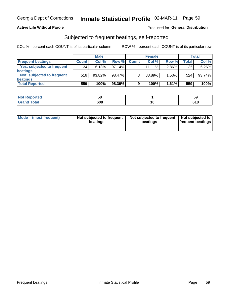### **Active Life Without Parole**

### Produced for General Distribution

### Subjected to frequent beatings, self-reported

COL % - percent each COUNT is of its particular column

|                                   |              | <b>Male</b> |           |              | <b>Female</b> |       |       | Total  |
|-----------------------------------|--------------|-------------|-----------|--------------|---------------|-------|-------|--------|
| <b>Frequent beatings</b>          | <b>Count</b> | Col %       | Row %     | <b>Count</b> | Col %         | Row % | Total | Col %  |
| <b>Yes, subjected to frequent</b> | 34           | 6.18%       | $97.14\%$ |              | 11.11%        | 2.86% | 35    | 6.26%  |
| <b>beatings</b>                   |              |             |           |              |               |       |       |        |
| Not subjected to frequent         | 516          | 93.82%      | 98.47%    | 8            | 88.89%        | 1.53% | 524   | 93.74% |
| <b>beatings</b>                   |              |             |           |              |               |       |       |        |
| <b>Total Reported</b>             | 550          | 100%        | 98.39%    | 9            | 100%          | 1.61% | 559   | 100%   |

| <b>Not Reported</b> | วด  |    | ວະ                  |
|---------------------|-----|----|---------------------|
| <b>Total</b>        | 608 | ιu | <b>C40</b><br>0 I O |

| Mode (most frequent) | Not subjected to frequent<br>beatings | Not subjected to frequent<br>beatings | Not subjected to<br><b>frequent beatings</b> |
|----------------------|---------------------------------------|---------------------------------------|----------------------------------------------|
|                      |                                       |                                       |                                              |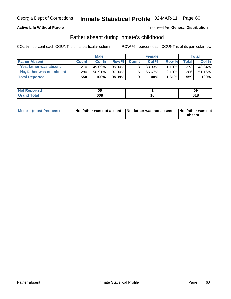### **Active Life Without Parole**

### Produced for General Distribution

### Father absent during inmate's childhood

COL % - percent each COUNT is of its particular column

|                           |              | <b>Male</b> |              |                | <b>Female</b> |          |         | <b>Total</b> |
|---------------------------|--------------|-------------|--------------|----------------|---------------|----------|---------|--------------|
| <b>Father Absent</b>      | <b>Count</b> | Col%        | <b>Row %</b> | <b>Count</b>   | Col%          | Row %    | Total I | Col %        |
| Yes, father was absent    | 270          | 49.09%      | 98.90% I     | 3 <sub>1</sub> | $33.33\%$     | $1.10\%$ | 273     | 48.84%       |
| No, father was not absent | 280          | $50.91\%$   | 97.90%       | 6              | 66.67%        | $2.10\%$ | 286     | 51.16%       |
| <b>Total Reported</b>     | 550          | 100%        | $98.39\%$    | 9              | 100%          | 1.61%    | 559     | 100%         |

| <b>Not Reported</b>      | --<br>ັບບ |    | ວະ            |
|--------------------------|-----------|----|---------------|
| <b>c</b> otal<br>' Grano | 608       | л. | 64 O<br>0 I O |

| Mode (most frequent) |  | No, father was not absent No, father was not absent No, father was not | absent |
|----------------------|--|------------------------------------------------------------------------|--------|
|----------------------|--|------------------------------------------------------------------------|--------|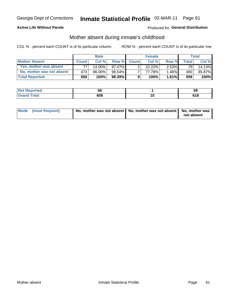### **Active Life Without Parole**

### **Produced for General Distribution**

### Mother absent during inmate's childhood

COL % - percent each COUNT is of its particular column

|                           |              | <b>Male</b> |           |              | <b>Female</b> |          |       | Total  |
|---------------------------|--------------|-------------|-----------|--------------|---------------|----------|-------|--------|
| <b>Mother Absent</b>      | <b>Count</b> | Col%        | Row %     | <b>Count</b> | Col%          | Row %    | Total | Col %  |
| Yes, mother was absent    | 77           | $14.00\%$   | 97.47% I  | ົ            | 22.22%        | $2.53\%$ | 79    | 14.13% |
| No, mother was not absent | 473          | 86.00%      | $98.54\%$ |              | 77.78%        | 1.46%    | 480   | 85.87% |
| <b>Total Reported</b>     | 550          | 100%        | $98.39\%$ | 9            | 100%          | $1.61\%$ | 559   | 100%   |

| Reported<br><b>NOT</b> | --<br>- 1<br>ັບບ | 59          |
|------------------------|------------------|-------------|
| <b>otal</b>            | 608              | 64 O<br>סונ |

| Mode (most frequent) | No, mother was not absent   No, mother was not absent   No, mother was | not absent |
|----------------------|------------------------------------------------------------------------|------------|
|----------------------|------------------------------------------------------------------------|------------|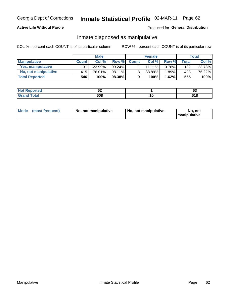### **Active Life Without Parole**

#### Produced for General Distribution

### Inmate diagnosed as manipulative

COL % - percent each COUNT is of its particular column

|                       |              | <b>Male</b> |           |                | <b>Female</b> |       |              | Total  |
|-----------------------|--------------|-------------|-----------|----------------|---------------|-------|--------------|--------|
| <b>Manipulative</b>   | <b>Count</b> | Col %       | Row %     | <b>Count</b>   | Col %         | Row % | <b>Total</b> | Col %  |
| Yes, manipulative     | 131          | 23.99%      | $99.24\%$ |                | 11.11%        | 0.76% | 132          | 23.78% |
| No, not manipulative  | 415'         | 76.01%      | 98.11%    | 8 <sub>1</sub> | 88.89%        | 1.89% | 423          | 76.22% |
| <b>Total Reported</b> | 546          | 100%        | 98.38%    | 9              | 100%          | 1.62% | 555          | 100%   |

| المناسب المسار<br>-N.<br>keporteal | ◡▵  |    | <b>00</b><br>და |
|------------------------------------|-----|----|-----------------|
| `otal                              | 608 | ιu | ca c<br>0 I O   |

| <b>Mode</b><br>(most frequent) | No, not manipulative | No, not manipulative | No. not<br><b>I</b> manipulative |
|--------------------------------|----------------------|----------------------|----------------------------------|
|--------------------------------|----------------------|----------------------|----------------------------------|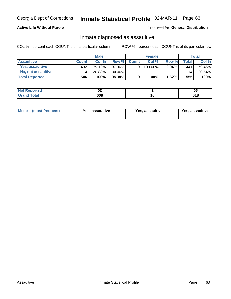## Inmate Statistical Profile 02-MAR-11 Page 63

### **Active Life Without Parole**

#### Produced for General Distribution

### Inmate diagnosed as assaultive

COL % - percent each COUNT is of its particular column

|                           |              | <b>Male</b> |         |              | <b>Female</b> |          |        | Total  |
|---------------------------|--------------|-------------|---------|--------------|---------------|----------|--------|--------|
| <b>Assaultive</b>         | <b>Count</b> | Col %       | Row %   | <b>Count</b> | Col %         | Row %    | ™otal⊥ | Col %  |
| Yes, assaultive           | 432          | 79.12%      | 97.96%  | 9            | 100.00%       | $2.04\%$ | 441    | 79.46% |
| <b>No, not assaultive</b> | 114          | 20.88%      | 100.00% |              |               |          | 114    | 20.54% |
| <b>Total Reported</b>     | 546          | 100%        | 98.38%  | 9            | 100%          | 1.62%    | 555    | 100%   |

| <b>Not Reported</b> | VZ  |     | ~<br>ບປ       |
|---------------------|-----|-----|---------------|
| <b>Total</b>        | 608 | 1 U | с4 с<br>0 I O |

| <b>Mode</b><br>(most frequent) | <b>Yes, assaultive</b> | Yes, assaultive | <b>Yes, assaultive</b> |
|--------------------------------|------------------------|-----------------|------------------------|
|--------------------------------|------------------------|-----------------|------------------------|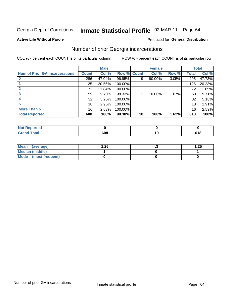#### Inmate Statistical Profile 02-MAR-11 Page 64

#### **Active Life Without Parole**

### **Produced for General Distribution**

### Number of prior Georgia incarcerations

COL % - percent each COUNT is of its particular column

|                                       |                 | <b>Male</b> |         |              | <b>Female</b> |       |       | <b>Total</b> |
|---------------------------------------|-----------------|-------------|---------|--------------|---------------|-------|-------|--------------|
| <b>Num of Prior GA Incarcerations</b> | <b>Count</b>    | Col %       | Row %   | <b>Count</b> | Col %         | Row % | Total | Col %        |
|                                       | 286             | 47.04%      | 96.95%  | 9            | 90.00%        | 3.05% | 295   | 47.73%       |
|                                       | 125             | 20.56%      | 100.00% |              |               |       | 125   | 20.23%       |
|                                       | 72              | 11.84%      | 100.00% |              |               |       | 72    | 11.65%       |
| 3                                     | 59 <sub>1</sub> | $9.70\%$    | 98.33%  |              | 10.00%        | 1.67% | 60    | 9.71%        |
|                                       | 32              | 5.26%       | 100.00% |              |               |       | 32    | 5.18%        |
| 5                                     | 18              | 2.96%       | 100.00% |              |               |       | 18    | 2.91%        |
| <b>More Than 5</b>                    | 16              | 2.63%       | 100.00% |              |               |       | 16    | 2.59%        |
| <b>Total Reported</b>                 | 608             | 100%        | 98.38%  | 10           | 100%          | 1.62% | 618   | 100%         |

| orted<br>" INOT 1. |  |      |
|--------------------|--|------|
| <b>Total</b>       |  | 64 O |

| Mean (average)       | 26.، | 1.25 |
|----------------------|------|------|
| Median (middle)      |      |      |
| Mode (most frequent) |      |      |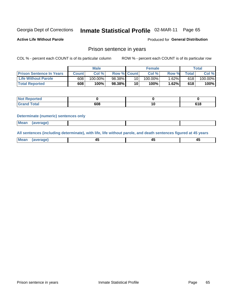#### Inmate Statistical Profile 02-MAR-11 Page 65

**Active Life Without Parole** 

Produced for General Distribution

### Prison sentence in years

COL % - percent each COUNT is of its particular column

ROW % - percent each COUNT is of its particular row

|                                 |        | <b>Male</b> |                    |    | <b>Female</b> |       |             | Total   |
|---------------------------------|--------|-------------|--------------------|----|---------------|-------|-------------|---------|
| <b>Prison Sentence In Years</b> | Count⊺ | Col %       | <b>Row % Count</b> |    | Col %         | Row % | $\tau$ otal | Col %   |
| <b>Life Without Parole</b>      | 608    | $100.00\%$  | 98.38%             | 10 | $100.00\%$    | 1.62% | 618         | 100.00% |
| <b>Total Reported</b>           | 608    | 100%        | 98.38%             | 10 | 100%          | 1.62% | 618         | 100%    |

| Not Reported |     |              |
|--------------|-----|--------------|
| <b>cotal</b> | 608 | 04 C<br>סו ר |

#### **Determinate (numeric) sentences only**

| <b>Mean</b><br>(average) |  |  |
|--------------------------|--|--|
|--------------------------|--|--|

All sentences (including determinate), with life, life without parole, and death sentences figured at 45 years

| l Mea<br>апе<br>. | -⊷ |  |
|-------------------|----|--|
|                   |    |  |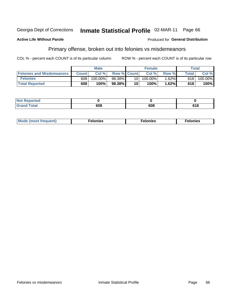#### Georgia Dept of Corrections Inmate Statistical Profile 02-MAR-11 Page 66

#### **Active Life Without Parole**

#### Produced for General Distribution

### Primary offense, broken out into felonies vs misdemeanors

COL % - percent each COUNT is of its particular column

|                                  | <b>Male</b>  |         |                    | <b>Female</b> |         |          | Total        |         |  |
|----------------------------------|--------------|---------|--------------------|---------------|---------|----------|--------------|---------|--|
| <b>Felonies and Misdemeanors</b> | <b>Count</b> | Col%    | <b>Row % Count</b> |               | Col%    | Row %    | <b>Total</b> | Col %   |  |
| <b>Felonies</b>                  | 608          | 100.00% | 98.38%             | 10 I          | 100.00% | $1.62\%$ | 618          | 100.00% |  |
| <b>Total Reported</b>            | 608          | $100\%$ | 98.38%             | 10            | 100%    | .62%     | 618          | 100%    |  |

| <b>Not Reported</b>          |     |     |     |
|------------------------------|-----|-----|-----|
| <b>Total</b><br>Grand<br>uuu | ,ua | 608 | 618 |

| Mode (most frequent)<br>elonies | Felonies | Felonies |
|---------------------------------|----------|----------|
|---------------------------------|----------|----------|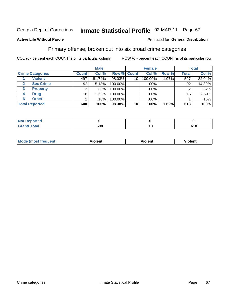#### Inmate Statistical Profile 02-MAR-11 Page 67

#### **Active Life Without Parole**

#### Produced for General Distribution

### Primary offense, broken out into six broad crime categories

COL % - percent each COUNT is of its particular column

|                         | <b>Male</b>  |        |             | <b>Female</b> |         |       | <b>Total</b> |         |
|-------------------------|--------------|--------|-------------|---------------|---------|-------|--------------|---------|
| <b>Crime Categories</b> | <b>Count</b> | Col %  | Row % Count |               | Col %   | Row % | <b>Total</b> | Col %   |
| <b>Violent</b>          | 497          | 81.74% | 98.03%      | 10            | 100.00% | 1.97% | 507          | 82.04%  |
| <b>Sex Crime</b>        | 92           | 15.13% | 100.00%     |               | .00%    |       | 92           | 14.89%  |
| <b>Property</b><br>3    | 2            | .33%   | 100.00%     |               | .00%    |       |              | .32%    |
| <b>Drug</b><br>4        | 16           | 2.63%  | 100.00%     |               | .00%    |       | 16           | 2.59%   |
| <b>Other</b><br>6       |              | .16%   | 100.00%     |               | $.00\%$ |       |              | $.16\%$ |
| <b>Total Reported</b>   | 608          | 100%   | 98.38%      | 10            | 100%    | 1.62% | 618          | 100%    |

| <b>Not Reported</b> |     |     |
|---------------------|-----|-----|
| <b>Total</b>        | 608 | 618 |

| M | . | 40 O |
|---|---|------|
|   |   |      |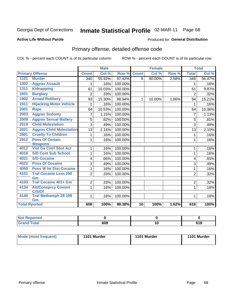# Inmate Statistical Profile 02-MAR-11 Page 68

#### **Active Life Without Parole**

#### Produced for General Distribution

## Primary offense, detailed offense code

COL % - percent each COUNT is of its particular column

|                      |                                    |                | <b>Male</b> |         |                 | <b>Female</b> |       |                  | <b>Total</b> |
|----------------------|------------------------------------|----------------|-------------|---------|-----------------|---------------|-------|------------------|--------------|
|                      | <b>Primary Offense</b>             | <b>Count</b>   | Col %       | Row %   | <b>Count</b>    | Col %         | Row % | <b>Total</b>     | Col %        |
| 1101                 | <b>Murder</b>                      | 340            | 55.92%      | 97.42%  | 9               | 90.00%        | 2.58% | $\overline{349}$ | 56.47%       |
| 1302                 | <b>Aggrav Assault</b>              | 1              | .16%        | 100.00% |                 |               |       | 1                | .16%         |
| 1311                 | <b>Kidnapping</b>                  | 61             | 10.03%      | 100.00% |                 |               |       | 61               | 9.87%        |
| 1601                 | <b>Burglary</b>                    | 2              | .33%        | 100.00% |                 |               |       | $\overline{2}$   | .32%         |
| 1902                 | <b>Armed Robbery</b>               | 93             | 15.30%      | 98.94%  | $\mathbf{1}$    | 10.00%        | 1.06% | 94               | 15.21%       |
| 1911                 | <b>Hijacking Motor Vehicle</b>     |                | .16%        | 100.00% |                 |               |       | 1                | .16%         |
| 2001                 | <b>Rape</b>                        | 64             | 10.53%      | 100.00% |                 |               |       | 64               | 10.36%       |
| 2003                 | <b>Aggrav Sodomy</b>               | 7              | 1.15%       | 100.00% |                 |               |       | 7                | 1.13%        |
| 2009                 | <b>Aggrav Sexual Battery</b>       | 5              | .82%        | 100.00% |                 |               |       | 5                | .81%         |
| 2019                 | <b>Child Molestation</b>           | 3              | .49%        | 100.00% |                 |               |       | $\overline{3}$   | .49%         |
| 2021                 | <b>Aggrav Child Molestation</b>    | 13             | 2.14%       | 100.00% |                 |               |       | 13               | 2.10%        |
| 2801                 | <b>Cruelty To Children</b>         |                | .16%        | 100.00% |                 |               |       | 1                | .16%         |
| 2912                 | <b>Poss Of Certain</b>             | 1              | .16%        | 100.00% |                 |               |       | 1                | .16%         |
|                      | <b>Weapons</b>                     |                |             |         |                 |               |       |                  |              |
| 4012                 | <b>Viol Ga Cntrl Sbst Act</b>      |                | .16%        | 100.00% |                 |               |       | 1                | .16%         |
| 4018                 | <b>S/D Cont Sub School</b>         | 1              | .16%        | 100.00% |                 |               |       | $\mathbf{1}$     | .16%         |
| 4021                 | <b>S/D Cocaine</b>                 | 4              | .66%        | 100.00% |                 |               |       | 4                | .65%         |
| 4022                 | <b>Poss Of Cocaine</b>             | 3              | .49%        | 100.00% |                 |               |       | 3                | .49%         |
| 4050                 | <b>Poss W Int Dist Cocaine</b>     | 1              | .16%        | 100.00% |                 |               |       | 1                | .16%         |
| 4101                 | <b>Traf Cocaine Less 200</b><br>Gm | $\overline{2}$ | .33%        | 100.00% |                 |               |       | $\overline{2}$   | .32%         |
| 4103                 | <b>Traf Cocaine 401+ Gm</b>        | 2              | .33%        | 100.00% |                 |               |       | 2                | .32%         |
| 4134                 | <b>Att/Consprcy Commt</b>          | 1              | .16%        | 100.00% |                 |               |       | $\mathbf{1}$     | .16%         |
|                      | C/S/Of                             |                |             |         |                 |               |       |                  |              |
| 4140                 | <b>Traf Methamph 28-199</b>        | 1              | .16%        | 100.00% |                 |               |       | 1                | .16%         |
|                      | Gm                                 | 608            | 100%        | 98.38%  | $\overline{10}$ | 100%          | 1.62% | 618              | 100%         |
| <b>Total Rported</b> |                                    |                |             |         |                 |               |       |                  |              |

| eported<br>N |     |                     |
|--------------|-----|---------------------|
| <b>Total</b> | 608 | <b>040</b><br>v 1 u |

| Mode (most frequent) | 1101 Murder | 1101 Murder | 1101 Murder |
|----------------------|-------------|-------------|-------------|
|                      |             |             |             |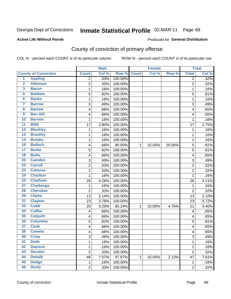# Inmate Statistical Profile 02-MAR-11 Page 69

#### **Active Life Without Parole**

#### Produced for General Distribution

## County of conviction of primary offense

COL % - percent each COUNT is of its particular column

|                         |                             |                         | <b>Male</b> |         |              | <b>Female</b> |        |                | <b>Total</b> |
|-------------------------|-----------------------------|-------------------------|-------------|---------|--------------|---------------|--------|----------------|--------------|
|                         | <b>County of Conviction</b> | <b>Count</b>            | Col %       | Row %   | <b>Count</b> | Col %         | Row %  | <b>Total</b>   | Col %        |
| 1                       | <b>Appling</b>              | 2                       | .33%        | 100.00% |              |               |        | $\overline{2}$ | .32%         |
| $\overline{2}$          | <b>Atkinson</b>             | $\overline{2}$          | .33%        | 100.00% |              |               |        | $\overline{2}$ | .32%         |
| $\overline{\mathbf{3}}$ | <b>Bacon</b>                | 1                       | .16%        | 100.00% |              |               |        | 1              | .16%         |
| 5                       | <b>Baldwin</b>              | $\overline{5}$          | .82%        | 100.00% |              |               |        | 5              | .81%         |
| $\overline{\mathbf{6}}$ | <b>Banks</b>                | 1                       | .16%        | 100.00% |              |               |        | 1              | .16%         |
| $\overline{\mathbf{7}}$ | <b>Barrow</b>               | 3                       | .49%        | 100.00% |              |               |        | 3              | .49%         |
| $\overline{\mathbf{8}}$ | <b>Bartow</b>               | 4                       | .66%        | 100.00% |              |               |        | 4              | .65%         |
| $\overline{9}$          | <b>Ben Hill</b>             | 4                       | .66%        | 100.00% |              |               |        | 4              | .65%         |
| 10                      | <b>Berrien</b>              | 1                       | .16%        | 100.00% |              |               |        | 1              | .16%         |
| $\overline{11}$         | <b>Bibb</b>                 | 17                      | 2.80%       | 100.00% |              |               |        | 17             | 2.75%        |
| $\overline{12}$         | <b>Bleckley</b>             | 1                       | .16%        | 100.00% |              |               |        | $\mathbf 1$    | .16%         |
| 13                      | <b>Brantley</b>             | 1                       | .16%        | 100.00% |              |               |        | 1              | .16%         |
| 14                      | <b>Brooks</b>               | 1                       | .16%        | 100.00% |              |               |        | 1              | .16%         |
| 16                      | <b>Bulloch</b>              | 4                       | .66%        | 80.00%  | $\mathbf{1}$ | 10.00%        | 20.00% | 5              | .81%         |
| $\overline{17}$         | <b>Burke</b>                | 5                       | .82%        | 100.00% |              |               |        | 5              | .81%         |
| $\overline{18}$         | <b>Butts</b>                | 4                       | .66%        | 100.00% |              |               |        | 4              | .65%         |
| 20                      | <b>Camden</b>               | 3                       | .49%        | 100.00% |              |               |        | 3              | .49%         |
| $\overline{22}$         | <b>Carroll</b>              | $\overline{\mathbf{c}}$ | .33%        | 100.00% |              |               |        | $\overline{c}$ | .32%         |
| 23                      | <b>Catoosa</b>              | 2                       | .33%        | 100.00% |              |               |        | $\overline{2}$ | .32%         |
| $\overline{24}$         | <b>Charlton</b>             | 1                       | .16%        | 100.00% |              |               |        | $\mathbf{1}$   | .16%         |
| 25                      | <b>Chatham</b>              | 26                      | 4.28%       | 100.00% |              |               |        | 26             | 4.21%        |
| $\overline{27}$         | <b>Chattooga</b>            | 1                       | .16%        | 100.00% |              |               |        | 1              | .16%         |
| 28                      | <b>Cherokee</b>             | $\overline{c}$          | .33%        | 100.00% |              |               |        | $\overline{2}$ | .32%         |
| 29                      | <b>Clarke</b>               | 13                      | 2.14%       | 100.00% |              |               |        | 13             | 2.10%        |
| $\overline{31}$         | <b>Clayton</b>              | 23                      | 3.78%       | 100.00% |              |               |        | 23             | 3.72%        |
| 33                      | <b>Cobb</b>                 | 20                      | 3.29%       | 95.24%  | $\mathbf{1}$ | 10.00%        | 4.76%  | 21             | 3.40%        |
| 34                      | <b>Coffee</b>               | 4                       | .66%        | 100.00% |              |               |        | 4              | .65%         |
| 35                      | <b>Colquitt</b>             | 4                       | .66%        | 100.00% |              |               |        | 4              | .65%         |
| 36                      | <b>Columbia</b>             | 5                       | .82%        | 100.00% |              |               |        | 5              | .81%         |
| $\overline{37}$         | <b>Cook</b>                 | 4                       | .66%        | 100.00% |              |               |        | 4              | .65%         |
| 38                      | <b>Coweta</b>               | 4                       | .66%        | 100.00% |              |               |        | 4              | .65%         |
| 40                      | <b>Crisp</b>                | 3                       | .49%        | 100.00% |              |               |        | 3              | .49%         |
| 41                      | <b>Dade</b>                 | $\mathbf 1$             | .16%        | 100.00% |              |               |        | $\mathbf{1}$   | .16%         |
| 42                      | <b>Dawson</b>               | $\mathbf 1$             | .16%        | 100.00% |              |               |        | 1              | .16%         |
| 43                      | <b>Decatur</b>              | $\overline{2}$          | .33%        | 100.00% |              |               |        | $\overline{2}$ | .32%         |
| 44                      | <b>Dekalb</b>               | 46                      | 7.57%       | 97.87%  | 1            | 10.00%        | 2.13%  | 47             | 7.61%        |
| 45                      | <b>Dodge</b>                | $\mathbf 1$             | .16%        | 100.00% |              |               |        | $\mathbf 1$    | .16%         |
| 46                      | <b>Dooly</b>                | $\overline{2}$          | .33%        | 100.00% |              |               |        | $\overline{2}$ | .32%         |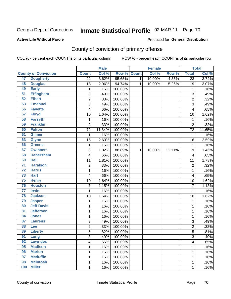# Inmate Statistical Profile 02-MAR-11 Page 70

#### **Active Life Without Parole**

#### Produced for General Distribution

## County of conviction of primary offense

COL % - percent each COUNT is of its particular column

|                 |                             |                         | <b>Male</b><br><b>Female</b> |         | <b>Total</b> |        |        |                 |        |
|-----------------|-----------------------------|-------------------------|------------------------------|---------|--------------|--------|--------|-----------------|--------|
|                 | <b>County of Conviction</b> | <b>Count</b>            | Col %                        | Row %   | <b>Count</b> | Col %  | Row %  | <b>Total</b>    | Col %  |
| 47              | <b>Dougherty</b>            | $\overline{22}$         | 3.62%                        | 95.65%  | 1            | 10.00% | 4.35%  | $\overline{23}$ | 3.72%  |
| 48              | <b>Douglas</b>              | 18                      | 2.96%                        | 94.74%  | $\mathbf{1}$ | 10.00% | 5.26%  | 19              | 3.07%  |
| 49              | <b>Early</b>                | 1                       | .16%                         | 100.00% |              |        |        | $\mathbf 1$     | .16%   |
| $\overline{51}$ | <b>Effingham</b>            | $\sqrt{3}$              | .49%                         | 100.00% |              |        |        | $\overline{3}$  | .49%   |
| 52              | <b>Elbert</b>               | $\overline{\mathbf{c}}$ | .33%                         | 100.00% |              |        |        | $\overline{c}$  | .32%   |
| 53              | <b>Emanuel</b>              | 3                       | .49%                         | 100.00% |              |        |        | 3               | .49%   |
| 56              | <b>Fayette</b>              | 4                       | .66%                         | 100.00% |              |        |        | 4               | .65%   |
| 57              | <b>Floyd</b>                | 10                      | 1.64%                        | 100.00% |              |        |        | 10              | 1.62%  |
| 58              | <b>Forsyth</b>              | 1                       | .16%                         | 100.00% |              |        |        | $\mathbf{1}$    | .16%   |
| 59              | <b>Franklin</b>             | $\overline{2}$          | .33%                         | 100.00% |              |        |        | $\overline{2}$  | .32%   |
| 60              | <b>Fulton</b>               | 72                      | 11.84%                       | 100.00% |              |        |        | 72              | 11.65% |
| 61              | <b>Gilmer</b>               | 1                       | .16%                         | 100.00% |              |        |        | 1               | .16%   |
| 63              | <b>Glynn</b>                | 16                      | 2.63%                        | 100.00% |              |        |        | 16              | 2.59%  |
| 66              | Greene                      | 1                       | .16%                         | 100.00% |              |        |        | $\mathbf{1}$    | .16%   |
| 67              | <b>Gwinnett</b>             | 8                       | 1.32%                        | 88.89%  | $\mathbf{1}$ | 10.00% | 11.11% | 9               | 1.46%  |
| 68              | <b>Habersham</b>            | 4                       | .66%                         | 100.00% |              |        |        | 4               | .65%   |
| 69              | <b>Hall</b>                 | 11                      | 1.81%                        | 100.00% |              |        |        | 11              | 1.78%  |
| $\overline{71}$ | <b>Haralson</b>             | $\overline{c}$          | .33%                         | 100.00% |              |        |        | $\overline{c}$  | .32%   |
| $\overline{72}$ | <b>Harris</b>               | 1                       | .16%                         | 100.00% |              |        |        | 1               | .16%   |
| 73              | <b>Hart</b>                 | 4                       | .66%                         | 100.00% |              |        |        | 4               | .65%   |
| 75              | <b>Henry</b>                | 10                      | 1.64%                        | 100.00% |              |        |        | 10              | 1.62%  |
| 76              | <b>Houston</b>              | $\overline{7}$          | 1.15%                        | 100.00% |              |        |        | $\overline{7}$  | 1.13%  |
| $\overline{77}$ | <b>Irwin</b>                | 1                       | .16%                         | 100.00% |              |        |        | 1               | .16%   |
| 78              | <b>Jackson</b>              | 10                      | 1.64%                        | 100.00% |              |        |        | 10              | 1.62%  |
| 79              | <b>Jasper</b>               | 1                       | .16%                         | 100.00% |              |        |        | 1               | .16%   |
| 80              | <b>Jeff Davis</b>           | 1                       | .16%                         | 100.00% |              |        |        | 1               | .16%   |
| 81              | <b>Jefferson</b>            | 1                       | .16%                         | 100.00% |              |        |        | 1               | .16%   |
| 84              | <b>Jones</b>                | 1                       | .16%                         | 100.00% |              |        |        | 1               | .16%   |
| 87              | <b>Laurens</b>              | 3                       | .49%                         | 100.00% |              |        |        | 3               | .49%   |
| 88              | Lee                         | $\overline{c}$          | .33%                         | 100.00% |              |        |        | $\overline{2}$  | .32%   |
| 89              | <b>Liberty</b>              | 5                       | .82%                         | 100.00% |              |        |        | 5               | .81%   |
| 91              | Long                        | 3                       | .49%                         | 100.00% |              |        |        | 3               | .49%   |
| 92              | <b>Lowndes</b>              | 4                       | .66%                         | 100.00% |              |        |        | 4               | .65%   |
| 95              | <b>Madison</b>              | $\mathbf 1$             | .16%                         | 100.00% |              |        |        | 1               | .16%   |
| 96              | <b>Marion</b>               | 1                       | .16%                         | 100.00% |              |        |        | 1               | .16%   |
| 97              | <b>Mcduffie</b>             | 1                       | .16%                         | 100.00% |              |        |        | 1               | .16%   |
| 98              | <b>Mcintosh</b>             | 1                       | .16%                         | 100.00% |              |        |        | 1               | .16%   |
| 100             | <b>Miller</b>               | $\mathbf 1$             | .16%                         | 100.00% |              |        |        | 1               | .16%   |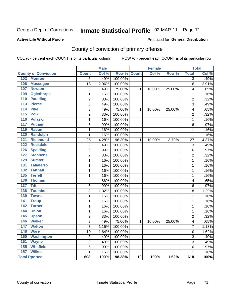# Inmate Statistical Profile 02-MAR-11 Page 71

#### **Active Life Without Parole**

#### Produced for General Distribution

## County of conviction of primary offense

COL % - percent each COUNT is of its particular column

|                                    |                 | <b>Male</b> |         |                 | <b>Female</b> |        |                | <b>Total</b> |
|------------------------------------|-----------------|-------------|---------|-----------------|---------------|--------|----------------|--------------|
| <b>County of Conviction</b>        | <b>Count</b>    | Col %       | Row %   | <b>Count</b>    | Col %         | Row %  | <b>Total</b>   | Col %        |
| 102 Monroe                         | $\overline{3}$  | .49%        | 100.00% |                 |               |        | $\overline{3}$ | .49%         |
| 106<br><b>Muscogee</b>             | $\overline{18}$ | 2.96%       | 100.00% |                 |               |        | 18             | 2.91%        |
| 107<br><b>Newton</b>               | 3               | .49%        | 75.00%  | $\mathbf{1}$    | 10.00%        | 25.00% | 4              | .65%         |
| 109<br><b>Oglethorpe</b>           | 1               | .16%        | 100.00% |                 |               |        | $\mathbf{1}$   | .16%         |
| 110<br><b>Paulding</b>             | $\overline{2}$  | .33%        | 100.00% |                 |               |        | $\overline{2}$ | .32%         |
| 113<br><b>Pierce</b>               | $\overline{3}$  | .49%        | 100.00% |                 |               |        | $\overline{3}$ | .49%         |
| 114<br><b>Pike</b>                 | $\overline{3}$  | .49%        | 75.00%  | $\mathbf{1}$    | 10.00%        | 25.00% | 4              | .65%         |
| 115<br><b>Polk</b>                 | $\overline{2}$  | .33%        | 100.00% |                 |               |        | $\overline{2}$ | .32%         |
| 116<br><b>Pulaski</b>              | $\mathbf{1}$    | .16%        | 100.00% |                 |               |        | $\mathbf 1$    | .16%         |
| 117<br><b>Putnam</b>               | 6               | .99%        | 100.00% |                 |               |        | 6              | .97%         |
| <b>Rabun</b><br>119                | $\mathbf 1$     | .16%        | 100.00% |                 |               |        | $\mathbf{1}$   | .16%         |
| 120<br><b>Randolph</b>             | 1               | .16%        | 100.00% |                 |               |        | $\mathbf{1}$   | .16%         |
| 121<br><b>Richmond</b>             | 26              | 4.28%       | 96.30%  | $\mathbf{1}$    | 10.00%        | 3.70%  | 27             | 4.37%        |
| 122<br><b>Rockdale</b>             | $\overline{3}$  | .49%        | 100.00% |                 |               |        | $\overline{3}$ | .49%         |
| <b>Spalding</b><br>126             | 6               | .99%        | 100.00% |                 |               |        | 6              | .97%         |
| <b>Stephens</b><br>127             | $\overline{2}$  | .33%        | 100.00% |                 |               |        | $\overline{2}$ | .32%         |
| <b>Sumter</b><br>129               | 1               | .16%        | 100.00% |                 |               |        | 1              | .16%         |
| <b>Taliaferro</b><br>131           | 1               | .16%        | 100.00% |                 |               |        | 1              | .16%         |
| <b>Tattnall</b><br>132             | $\mathbf{1}$    | .16%        | 100.00% |                 |               |        | $\mathbf{1}$   | .16%         |
| <b>Terrell</b><br>$\overline{135}$ | $\mathbf{1}$    | .16%        | 100.00% |                 |               |        | $\mathbf{1}$   | .16%         |
| <b>Thomas</b><br>136               | 4               | .66%        | 100.00% |                 |               |        | 4              | .65%         |
| 137<br><b>Tift</b>                 | 6               | .99%        | 100.00% |                 |               |        | 6              | .97%         |
| 138<br><b>Toombs</b>               | $\overline{8}$  | 1.32%       | 100.00% |                 |               |        | 8              | 1.29%        |
| <b>Towns</b><br>139                | 1               | .16%        | 100.00% |                 |               |        | $\mathbf 1$    | .16%         |
| 141<br><b>Troup</b>                | 1               | .16%        | 100.00% |                 |               |        | $\mathbf{1}$   | .16%         |
| <b>Turner</b><br>142               | 1               | .16%        | 100.00% |                 |               |        | $\mathbf{1}$   | .16%         |
| <b>Union</b><br>144                | 1               | .16%        | 100.00% |                 |               |        | $\mathbf{1}$   | .16%         |
| 145<br><b>Upson</b>                | $\overline{2}$  | .33%        | 100.00% |                 |               |        | $\overline{2}$ | .32%         |
| <b>Walker</b><br>146               | 3               | .49%        | 75.00%  | $\mathbf{1}$    | 10.00%        | 25.00% | 4              | .65%         |
| 147<br><b>Walton</b>               | $\overline{7}$  | 1.15%       | 100.00% |                 |               |        | $\overline{7}$ | 1.13%        |
| 148<br><b>Ware</b>                 | 10              | 1.64%       | 100.00% |                 |               |        | 10             | 1.62%        |
| <b>Washington</b><br>150           | 3               | .49%        | 100.00% |                 |               |        | 3              | .49%         |
| 151<br><b>Wayne</b>                | $\overline{3}$  | .49%        | 100.00% |                 |               |        | 3              | .49%         |
| <b>Whitfield</b><br>155            | $\,6$           | .99%        | 100.00% |                 |               |        | 6              | .97%         |
| 157<br><b>Wilkes</b>               | $\mathbf{1}$    | .16%        | 100.00% |                 |               |        | $\mathbf{1}$   | .16%         |
| <b>Total Rported</b>               | 608             | 100%        | 98.38%  | $\overline{10}$ | 100%          | 1.62%  | 618            | 100%         |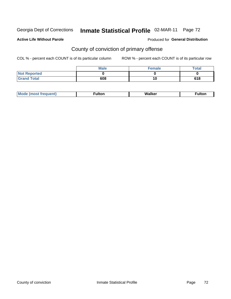# Inmate Statistical Profile 02-MAR-11 Page 72

#### **Active Life Without Parole**

#### Produced for General Distribution

## County of conviction of primary offense

COL % - percent each COUNT is of its particular column

|                     | <b>Male</b> | Female | <b>Total</b> |
|---------------------|-------------|--------|--------------|
| <b>Not Reported</b> |             |        |              |
| <b>Grand Total</b>  | 608         | 10     | 618          |

| Мı<br>----- | W.<br>⊿lker | ------ |
|-------------|-------------|--------|
|-------------|-------------|--------|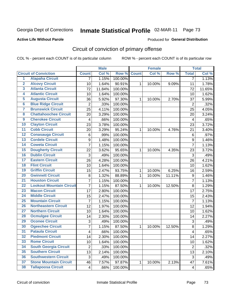Georgia Dept of Corrections

# Inmate Statistical Profile 02-MAR-11 Page 73

#### **Active Life Without Parole**

#### Produced for General Distribution

## Circuit of conviction of primary offense

COL % - percent each COUNT is of its particular column

|                         |                                 |                 | <b>Male</b> |             |   | <b>Female</b> |        |                         | <b>Total</b> |
|-------------------------|---------------------------------|-----------------|-------------|-------------|---|---------------|--------|-------------------------|--------------|
|                         | <b>Circuit of Conviction</b>    | <b>Count</b>    | Col %       | Row % Count |   | Col %         | Row %  | <b>Total</b>            | Col %        |
| $\overline{1}$          | <b>Alapaha Circuit</b>          | $\overline{7}$  | 1.15%       | 100.00%     |   |               |        | $\overline{7}$          | 1.13%        |
| $\overline{2}$          | <b>Alcovy Circuit</b>           | 10              | 1.64%       | 90.91%      | 1 | 10.00%        | 9.09%  | 11                      | 1.78%        |
| $\overline{\mathbf{3}}$ | <b>Atlanta Circuit</b>          | 72              | 11.84%      | 100.00%     |   |               |        | 72                      | 11.65%       |
| 4                       | <b>Atlantic Circuit</b>         | 10              | 1.64%       | 100.00%     |   |               |        | 10                      | 1.62%        |
| $\overline{5}$          | <b>Augusta Circuit</b>          | 36              | 5.92%       | 97.30%      | 1 | 10.00%        | 2.70%  | 37                      | 5.99%        |
| $6\overline{6}$         | <b>Blue Ridge Circuit</b>       | $\overline{2}$  | .33%        | 100.00%     |   |               |        | $\overline{2}$          | .32%         |
| 7                       | <b>Brunswick Circuit</b>        | $\overline{25}$ | 4.11%       | 100.00%     |   |               |        | 25                      | 4.05%        |
| 8                       | <b>Chattahoochee Circuit</b>    | 20              | 3.29%       | 100.00%     |   |               |        | 20                      | 3.24%        |
| $\boldsymbol{9}$        | <b>Cherokee Circuit</b>         | 4               | .66%        | 100.00%     |   |               |        | $\overline{\mathbf{4}}$ | .65%         |
| 10                      | <b>Clayton Circuit</b>          | 23              | 3.78%       | 100.00%     |   |               |        | 23                      | 3.72%        |
| $\overline{11}$         | <b>Cobb Circuit</b>             | 20              | 3.29%       | 95.24%      | 1 | 10.00%        | 4.76%  | 21                      | 3.40%        |
| $\overline{12}$         | <b>Conasauga Circuit</b>        | 6               | .99%        | 100.00%     |   |               |        | $\,6$                   | .97%         |
| $\overline{13}$         | <b>Cordele Circuit</b>          | 9               | 1.48%       | 100.00%     |   |               |        | 9                       | 1.46%        |
| $\overline{14}$         | <b>Coweta Circuit</b>           | $\overline{7}$  | 1.15%       | 100.00%     |   |               |        | $\overline{7}$          | 1.13%        |
| 15                      | <b>Dougherty Circuit</b>        | 22              | 3.62%       | 95.65%      | 1 | 10.00%        | 4.35%  | 23                      | 3.72%        |
| 16                      | <b>Dublin Circuit</b>           | 3               | .49%        | 100.00%     |   |               |        | $\mathfrak{S}$          | .49%         |
| $\overline{17}$         | <b>Eastern Circuit</b>          | 26              | 4.28%       | 100.00%     |   |               |        | 26                      | 4.21%        |
| 18                      | <b>Flint Circuit</b>            | 10              | 1.64%       | 100.00%     |   |               |        | 10                      | 1.62%        |
| 19                      | <b>Griffin Circuit</b>          | 15              | 2.47%       | 93.75%      | 1 | 10.00%        | 6.25%  | 16                      | 2.59%        |
| 20                      | <b>Gwinnett Circuit</b>         | 8               | 1.32%       | 88.89%      | 1 | 10.00%        | 11.11% | 9                       | 1.46%        |
| $\overline{21}$         | <b>Houston Circuit</b>          | $\overline{7}$  | 1.15%       | 100.00%     |   |               |        | $\overline{7}$          | 1.13%        |
| $\overline{22}$         | <b>Lookout Mountain Circuit</b> | $\overline{7}$  | 1.15%       | 87.50%      | 1 | 10.00%        | 12.50% | 8                       | 1.29%        |
| $\overline{23}$         | <b>Macon Circuit</b>            | 17              | 2.80%       | 100.00%     |   |               |        | 17                      | 2.75%        |
| $\overline{24}$         | <b>Middle Circuit</b>           | 15              | 2.47%       | 100.00%     |   |               |        | 15                      | 2.43%        |
| $\overline{25}$         | <b>Mountain Circuit</b>         | $\overline{7}$  | 1.15%       | 100.00%     |   |               |        | $\overline{7}$          | 1.13%        |
| 26                      | <b>Northeastern Circuit</b>     | 12              | 1.97%       | 100.00%     |   |               |        | 12                      | 1.94%        |
| $\overline{27}$         | <b>Northern Circuit</b>         | 10              | 1.64%       | 100.00%     |   |               |        | 10                      | 1.62%        |
| 28                      | <b>Ocmulgee Circuit</b>         | 14              | 2.30%       | 100.00%     |   |               |        | 14                      | 2.27%        |
| 29                      | <b>Oconee Circuit</b>           | 3               | .49%        | 100.00%     |   |               |        | 3                       | .49%         |
| 30                      | <b>Ogeechee Circuit</b>         | 7               | 1.15%       | 87.50%      | 1 | 10.00%        | 12.50% | 8                       | 1.29%        |
| $\overline{31}$         | <b>Pataula Circuit</b>          | 4               | .66%        | 100.00%     |   |               |        | 4                       | .65%         |
| 32                      | <b>Piedmont Circuit</b>         | 14              | 2.30%       | 100.00%     |   |               |        | 14                      | 2.27%        |
| 33                      | <b>Rome Circuit</b>             | 10              | 1.64%       | 100.00%     |   |               |        | 10                      | 1.62%        |
| 34                      | <b>South Georgia Circuit</b>    | $\overline{2}$  | .33%        | 100.00%     |   |               |        | $\overline{2}$          | .32%         |
| 35                      | <b>Southern Circuit</b>         | 13              | 2.14%       | 100.00%     |   |               |        | 13                      | 2.10%        |
| 36                      | <b>Southwestern Circuit</b>     | 3               | .49%        | 100.00%     |   |               |        | 3                       | .49%         |
| 37                      | <b>Stone Mountain Circuit</b>   | 46              | 7.57%       | 97.87%      | 1 | 10.00%        | 2.13%  | 47                      | 7.61%        |
| 38                      | <b>Tallapoosa Circuit</b>       | 4               | .66%        | 100.00%     |   |               |        | 4                       | .65%         |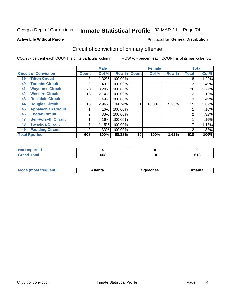Georgia Dept of Corrections

# Inmate Statistical Profile 02-MAR-11 Page 74

#### **Active Life Without Parole**

#### Produced for General Distribution

## Circuit of conviction of primary offense

COL % - percent each COUNT is of its particular column

|    |                              |                 | <b>Male</b> |         |              | <b>Female</b> |       |              | <b>Total</b> |
|----|------------------------------|-----------------|-------------|---------|--------------|---------------|-------|--------------|--------------|
|    | <b>Circuit of Conviction</b> | <b>Count</b>    | Col %       | Row %   | <b>Count</b> | Col %         | Row % | <b>Total</b> | Col %        |
| 39 | <b>Tifton Circuit</b>        | 8               | 1.32%       | 100.00% |              |               |       | 8            | 1.29%        |
| 40 | <b>Toombs Circuit</b>        | 3               | .49%        | 100.00% |              |               |       | 3            | .49%         |
| 41 | <b>Waycross Circuit</b>      | 20 <sub>1</sub> | 3.29%       | 100.00% |              |               |       | 20           | 3.24%        |
| 42 | <b>Western Circuit</b>       | 13              | 2.14%       | 100.00% |              |               |       | 13           | 2.10%        |
| 43 | <b>Rockdale Circuit</b>      | 3               | .49%        | 100.00% |              |               |       | 3            | .49%         |
| 44 | <b>Douglas Circuit</b>       | 18              | 2.96%       | 94.74%  |              | 10.00%        | 5.26% | 19           | 3.07%        |
| 45 | <b>Appalachian Circuit</b>   |                 | .16%        | 100.00% |              |               |       |              | .16%         |
| 46 | <b>Enotah Circuit</b>        | 2               | .33%        | 100.00% |              |               |       | 2            | .32%         |
| 47 | <b>Bell-Forsyth Circuit</b>  |                 | .16%        | 100.00% |              |               |       |              | .16%         |
| 48 | <b>Towaliga Circuit</b>      |                 | 1.15%       | 100.00% |              |               |       |              | 1.13%        |
| 49 | <b>Paulding Circuit</b>      | ◠               | .33%        | 100.00% |              |               |       | 2            | .32%         |
|    | <b>Total Rported</b>         | 608             | 100%        | 98.38%  | 10           | 100%          | 1.62% | 618          | 100%         |

| <b>eported</b>        |     |             |
|-----------------------|-----|-------------|
| <b>otal</b><br>$\sim$ | 608 | C4 O<br>uıu |

| Mc<br>tlanta<br>\tlanta<br>echee: |
|-----------------------------------|
|-----------------------------------|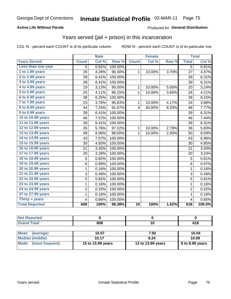#### **Active Life Without Parole**

### Produced for General Distribution

## Years served (jail + prison) in this incarceration

COL % - percent each COUNT is of its particular column

|                       |                | <b>Male</b> |         |                 | <b>Female</b> |       |                | <b>Total</b> |
|-----------------------|----------------|-------------|---------|-----------------|---------------|-------|----------------|--------------|
| <b>Years Served</b>   | <b>Count</b>   | Col %       | Row %   | <b>Count</b>    | Col %         | Row % | <b>Total</b>   | Col %        |
| Less than one year    | 5              | 0.82%       | 100.00% |                 |               |       | $\overline{5}$ | 0.81%        |
| 1 to 1.99 years       | 26             | 4.28%       | 96.30%  | $\mathbf{1}$    | 10.00%        | 3.70% | 27             | 4.37%        |
| 2 to 2.99 years       | 39             | 6.41%       | 100.00% |                 |               |       | 39             | 6.31%        |
| 3 to 3.99 years       | 39             | 6.41%       | 100.00% |                 |               |       | 39             | 6.31%        |
| 4 to 4.99 years       | 19             | 3.13%       | 95.00%  | 1               | 10.00%        | 5.00% | 20             | 3.24%        |
| 5 to 5.99 years       | 25             | 4.11%       | 96.15%  | $\mathbf{1}$    | 10.00%        | 3.85% | 26             | 4.21%        |
| 6 to 6.99 years       | 38             | 6.25%       | 100.00% |                 |               |       | 38             | 6.15%        |
| 7 to 7.99 years       | 23             | 3.78%       | 95.83%  | 1               | 10.00%        | 4.17% | 24             | 3.88%        |
| 8 to 8.99 years       | 44             | 7.24%       | 91.67%  | 4               | 40.00%        | 8.33% | 48             | 7.77%        |
| 9 to 9.99 years       | 39             | 6.41%       | 100.00% |                 |               |       | 39             | 6.31%        |
| 10 to 10.99 years     | 46             | 7.57%       | 100.00% |                 |               |       | 46             | 7.44%        |
| 11 to 11.99 years     | 39             | 6.41%       | 100.00% |                 |               |       | 39             | 6.31%        |
| 12 to 12.99 years     | 35             | 5.76%       | 97.22%  | 1               | 10.00%        | 2.78% | 36             | 5.83%        |
| 13 to 13.99 years     | 49             | 8.06%       | 98.00%  | 1               | 10.00%        | 2.00% | 50             | 8.09%        |
| 14 to 14.99 years     | 43             | 7.07%       | 100.00% |                 |               |       | 43             | 6.96%        |
| 15 to 15.99 years     | 30             | 4.93%       | 100.00% |                 |               |       | 30             | 4.85%        |
| 16 to 16.99 years     | 21             | 3.45%       | 100.00% |                 |               |       | 21             | 3.40%        |
| 17 to 17.99 years     | 20             | 3.29%       | 100.00% |                 |               |       | 20             | 3.24%        |
| 18 to 18.99 years     | 5              | 0.82%       | 100.00% |                 |               |       | 5              | 0.81%        |
| 19 to 19.99 years     | 6              | 0.99%       | 100.00% |                 |               |       | 6              | 0.97%        |
| 20 to 20.99 years     | 1              | 0.16%       | 100.00% |                 |               |       | $\mathbf{1}$   | 0.16%        |
| 21 to 21.99 years     | 3              | 0.49%       | 100.00% |                 |               |       | 3              | 0.49%        |
| 22 to 22.99 years     | 5              | 0.82%       | 100.00% |                 |               |       | $\overline{5}$ | 0.81%        |
| 23 to 23.99 years     | 1              | 0.16%       | 100.00% |                 |               |       | 1              | 0.16%        |
| 24 to 24.99 years     | $\overline{2}$ | 0.33%       | 100.00% |                 |               |       | $\overline{2}$ | 0.32%        |
| 27 to 27.99 years     | 1              | 0.16%       | 100.00% |                 |               |       | $\mathbf 1$    | 0.16%        |
| Thirty $+$ years      | 4              | 0.66%       | 100.00% |                 |               |       | 4              | 0.65%        |
| <b>Total Reported</b> | 608            | 100%        | 98.38%  | $\overline{10}$ | 100%          | 1.62% | 618            | 100.0%       |

| те. |     |      |
|-----|-----|------|
|     | 608 | 34 O |

| <b>Mean</b><br>(average)       | 10.07             | 7.92              | 10.04           |
|--------------------------------|-------------------|-------------------|-----------------|
| Median (middle)                | 10.17             | 8.24              | 10.08           |
| <b>Mode</b><br>(most frequent) | 15 to 15.99 years | 13 to 13.99 years | 8 to 8.99 years |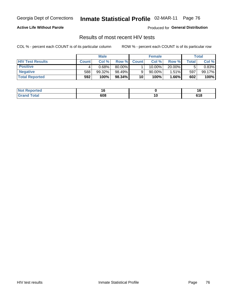Georgia Dept of Corrections

## Inmate Statistical Profile 02-MAR-11 Page 76

#### **Active Life Without Parole**

Produced for General Distribution

### Results of most recent HIV tests

COL % - percent each COUNT is of its particular column

|                         | <b>Male</b>  |        | <b>Female</b> |              |           | Total    |               |        |
|-------------------------|--------------|--------|---------------|--------------|-----------|----------|---------------|--------|
| <b>HIV Test Results</b> | <b>Count</b> | Col%   | Row %I        | <b>Count</b> | Col %     | Row %    | $\tau$ otal i | Col %  |
| <b>Positive</b>         |              | 0.68%  | 80.00%        |              | 10.00%    | 20.00%   |               | 0.83%  |
| <b>Negative</b>         | 588          | 99.32% | 98.49%        |              | $90.00\%$ | $1.51\%$ | 597           | 99.17% |
| <b>Total Reported</b>   | 592          | 100%   | 98.34%        | 10           | 100%      | $1.66\%$ | 602           | 100%   |

| <b>Not Reported</b> |     |                |
|---------------------|-----|----------------|
| <b>Total</b>        | 608 | C 4 0<br>0 I O |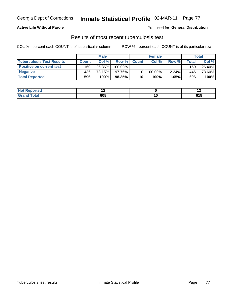#### Inmate Statistical Profile 02-MAR-11 Page 77

#### **Active Life Without Parole**

Produced for General Distribution

### Results of most recent tuberculosis test

COL % - percent each COUNT is of its particular column

|                                  | <b>Male</b>  |        | <b>Female</b> |                 |         | Total    |       |        |
|----------------------------------|--------------|--------|---------------|-----------------|---------|----------|-------|--------|
| <b>Tuberculosis Test Results</b> | <b>Count</b> | Col%   | Row %I        | <b>Count</b>    | Col%    | Row %    | Total | Col %  |
| <b>Positive on current test</b>  | 160          | 26.85% | $100.00\%$    |                 |         |          | 160   | 26.40% |
| <b>Negative</b>                  | 436          | 73.15% | 97.76%I       | 10 <sup>1</sup> | 100.00% | $2.24\%$ | 446   | 73.60% |
| <b>Total Reported</b>            | 596          | 100%   | 98.35%        | 10              | 100%    | 1.65%    | 606   | 100%   |

| <b>Not Reported</b> |     |               | . .           |
|---------------------|-----|---------------|---------------|
| Total               | 608 | ט ו<br>$\sim$ | 64 O<br>0 I O |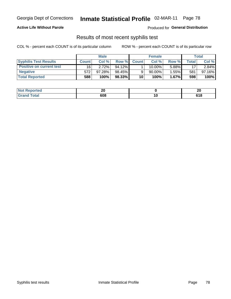## Inmate Statistical Profile 02-MAR-11 Page 78

#### **Active Life Without Parole**

**Produced for General Distribution** 

### Results of most recent syphilis test

COL % - percent each COUNT is of its particular column

|                                 | <b>Male</b>  |        | <b>Female</b> |              |           | Total    |       |           |
|---------------------------------|--------------|--------|---------------|--------------|-----------|----------|-------|-----------|
| <b>Syphilis Test Results</b>    | <b>Count</b> | Col%   | Row %         | <b>Count</b> | Col%      | Row %    | Total | Col %     |
| <b>Positive on current test</b> | 16           | 2.72%  | 94.12%        |              | $10.00\%$ | 5.88%    | 17    | $2.84\%$  |
| <b>Negative</b>                 | 572          | 97.28% | 98.45%        |              | 90.00%    | 1.55%    | 581   | $97.16\%$ |
| <b>Total Reported</b>           | 588          | 100%   | 98.33%        | 10           | 100%      | $1.67\%$ | 598   | 100%      |

| <b>Not Reported</b> | nr<br>ZV |        | or<br>Δu            |
|---------------------|----------|--------|---------------------|
| <b>Total</b>        | 608      | $\sim$ | <b>C40</b><br>0 I O |